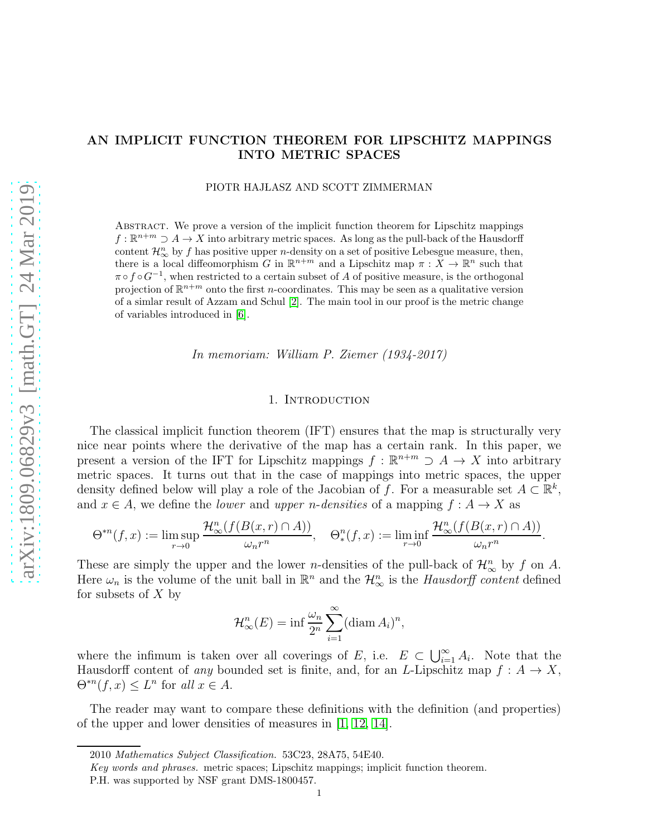# AN IMPLICIT FUNCTION THEOREM FOR LIPSCHITZ MAPPINGS INTO METRIC SPACES

PIOTR HAJLASZ AND SCOTT ZIMMERMAN

Abstract. We prove a version of the implicit function theorem for Lipschitz mappings  $f : \mathbb{R}^{n+m} \supset A \to X$  into arbitrary metric spaces. As long as the pull-back of the Hausdorff content  $\mathcal{H}_{\infty}^n$  by f has positive upper *n*-density on a set of positive Lebesgue measure, then, there is a local diffeomorphism G in  $\mathbb{R}^{n+m}$  and a Lipschitz map  $\pi : X \to \mathbb{R}^n$  such that  $\pi \circ f \circ G^{-1}$ , when restricted to a certain subset of A of positive measure, is the orthogonal projection of  $\mathbb{R}^{n+m}$  onto the first *n*-coordinates. This may be seen as a qualitative version of a simlar result of Azzam and Schul [\[2\]](#page-19-0). The main tool in our proof is the metric change of variables introduced in [\[6\]](#page-19-1).

In memoriam: William P. Ziemer (1934-2017)

### 1. INTRODUCTION

The classical implicit function theorem (IFT) ensures that the map is structurally very nice near points where the derivative of the map has a certain rank. In this paper, we present a version of the IFT for Lipschitz mappings  $f : \mathbb{R}^{n+m} \supset A \to X$  into arbitrary metric spaces. It turns out that in the case of mappings into metric spaces, the upper density defined below will play a role of the Jacobian of f. For a measurable set  $A \subset \mathbb{R}^k$ , and  $x \in A$ , we define the *lower* and *upper n-densities* of a mapping  $f : A \to X$  as

$$
\Theta^{*n}(f,x) := \limsup_{r \to 0} \frac{\mathcal{H}^n_{\infty}(f(B(x,r) \cap A))}{\omega_n r^n}, \quad \Theta_*^n(f,x) := \liminf_{r \to 0} \frac{\mathcal{H}^n_{\infty}(f(B(x,r) \cap A))}{\omega_n r^n}.
$$

These are simply the upper and the lower *n*-densities of the pull-back of  $\mathcal{H}_{\infty}^n$  by f on A. Here  $\omega_n$  is the volume of the unit ball in  $\mathbb{R}^n$  and the  $\mathcal{H}_{\infty}^n$  is the *Hausdorff content* defined for subsets of  $X$  by

$$
\mathcal{H}_{\infty}^{n}(E) = \inf \frac{\omega_{n}}{2^{n}} \sum_{i=1}^{\infty} (\text{diam } A_{i})^{n},
$$

where the infimum is taken over all coverings of E, i.e.  $E \subset \bigcup_{i=1}^{\infty} A_i$ . Note that the Hausdorff content of any bounded set is finite, and, for an L-Lipschitz map  $f: A \to X$ ,  $\Theta^{*n}(f,x) \leq L^n$  for all  $x \in A$ .

The reader may want to compare these definitions with the definition (and properties) of the upper and lower densities of measures in [\[1,](#page-19-2) [12,](#page-19-3) [14\]](#page-19-4).

<sup>2010</sup> Mathematics Subject Classification. 53C23, 28A75, 54E40.

Key words and phrases. metric spaces; Lipschitz mappings; implicit function theorem.

P.H. was supported by NSF grant DMS-1800457.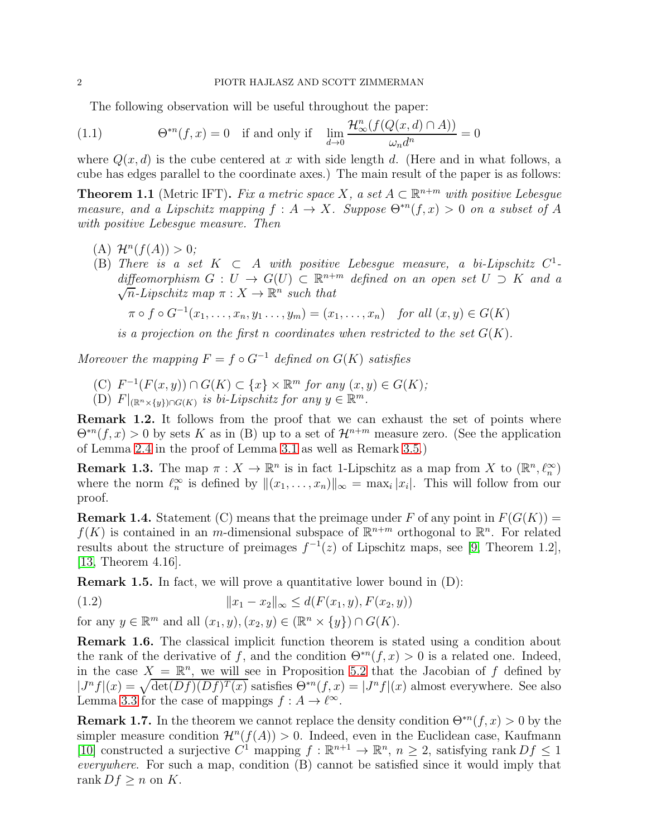<span id="page-1-2"></span>The following observation will be useful throughout the paper:

(1.1) 
$$
\Theta^{*n}(f,x) = 0 \quad \text{if and only if} \quad \lim_{d \to 0} \frac{\mathcal{H}^n_{\infty}(f(Q(x,d) \cap A))}{\omega_n d^n} = 0
$$

where  $Q(x, d)$  is the cube centered at x with side length d. (Here and in what follows, a cube has edges parallel to the coordinate axes.) The main result of the paper is as follows:

<span id="page-1-0"></span>**Theorem 1.1** (Metric IFT). Fix a metric space  $X$ , a set  $A \subset \mathbb{R}^{n+m}$  with positive Lebesgue measure, and a Lipschitz mapping  $f : A \to X$ . Suppose  $\Theta^{*n}(f, x) > 0$  on a subset of A with positive Lebesgue measure. Then

- (A)  $\mathcal{H}^n(f(A)) > 0;$
- (B) There is a set  $K \subset A$  with positive Lebesgue measure, a bi-Lipschitz  $C^1$ diffeomorphism  $G: U \to G(U) \subset \mathbb{R}^{n+m}$  defined on an open set  $U \supset K$  and a  $\sqrt{n}$ -Lipschitz map  $\pi: X \to \mathbb{R}^n$  such that

 $\pi \circ f \circ G^{-1}(x_1, ..., x_n, y_1, ..., y_m) = (x_1, ..., x_n)$  for all  $(x, y) \in G(K)$ 

is a projection on the first n coordinates when restricted to the set  $G(K)$ .

Moreover the mapping  $F = f \circ G^{-1}$  defined on  $G(K)$  satisfies

- $(C)$   $F^{-1}(F(x, y)) \cap G(K) \subset \{x\} \times \mathbb{R}^m$  for any  $(x, y) \in G(K)$ ;
- (D)  $F|_{(\mathbb{R}^n \times \{y\}) \cap G(K)}$  is bi-Lipschitz for any  $y \in \mathbb{R}^m$ .

Remark 1.2. It follows from the proof that we can exhaust the set of points where  $\Theta^{*n}(f, x) > 0$  by sets K as in (B) up to a set of  $\mathcal{H}^{n+m}$  measure zero. (See the application of Lemma [2.4](#page-5-0) in the proof of Lemma [3.1](#page-6-0) as well as Remark [3.5.](#page-7-0))

<span id="page-1-3"></span>**Remark 1.3.** The map  $\pi: X \to \mathbb{R}^n$  is in fact 1-Lipschitz as a map from X to  $(\mathbb{R}^n, \ell_n^{\infty})$ where the norm  $\ell_n^{\infty}$  is defined by  $\|(x_1,\ldots,x_n)\|_{\infty} = \max_i |x_i|$ . This will follow from our proof.

**Remark 1.4.** Statement (C) means that the preimage under F of any point in  $F(G(K))$  =  $f(K)$  is contained in an m-dimensional subspace of  $\mathbb{R}^{n+m}$  orthogonal to  $\mathbb{R}^n$ . For related results about the structure of preimages  $f^{-1}(z)$  of Lipschitz maps, see [\[9,](#page-19-5) Theorem 1.2], [\[13,](#page-19-6) Theorem 4.16].

Remark 1.5. In fact, we will prove a quantitative lower bound in (D):

<span id="page-1-1"></span>(1.2) 
$$
||x_1 - x_2||_{\infty} \leq d(F(x_1, y), F(x_2, y))
$$

for any  $y \in \mathbb{R}^m$  and all  $(x_1, y), (x_2, y) \in (\mathbb{R}^n \times \{y\}) \cap G(K)$ .

Remark 1.6. The classical implicit function theorem is stated using a condition about the rank of the derivative of f, and the condition  $\Theta^{*n}(f, x) > 0$  is a related one. Indeed, in the case  $X = \mathbb{R}^n$ , we will see in Proposition [5.2](#page-13-0) that the Jacobian of f defined by  $J^n f|(x) = \sqrt{\det(Df)(Df)^T(x)}$  satisfies  $\Theta^{*n}(f, x) = |J^n f|(x)$  almost everywhere. See also Lemma [3.3](#page-7-1) for the case of mappings  $f : A \to \ell^{\infty}$ .

**Remark 1.7.** In the theorem we cannot replace the density condition  $\Theta^{*n}(f, x) > 0$  by the simpler measure condition  $\mathcal{H}^n(f(A)) > 0$ . Indeed, even in the Euclidean case, Kaufmann [\[10\]](#page-19-7) constructed a surjective  $C^1$  mapping  $f : \mathbb{R}^{n+1} \to \mathbb{R}^n$ ,  $n \geq 2$ , satisfying rank  $Df \leq 1$ everywhere. For such a map, condition (B) cannot be satisfied since it would imply that rank  $Df \geq n$  on K.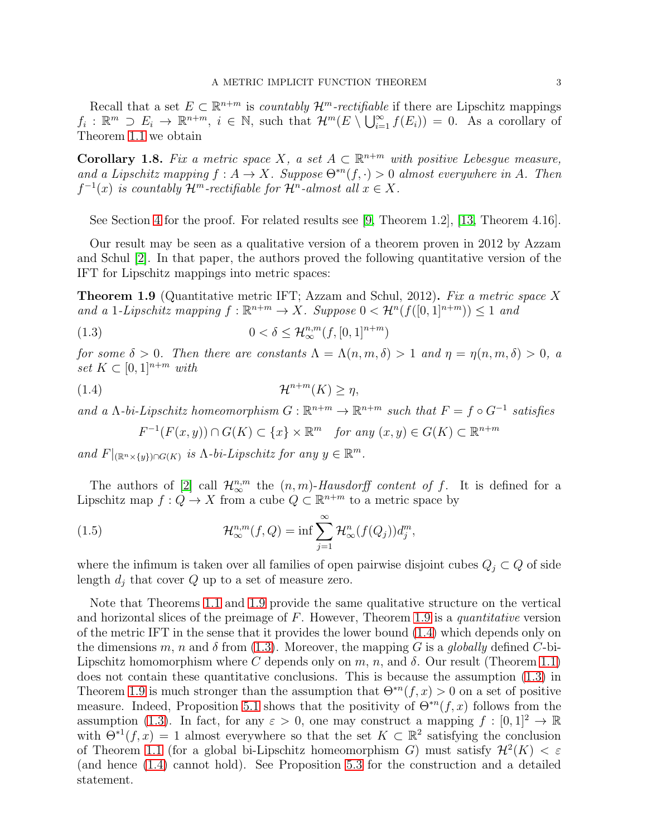Recall that a set  $E \subset \mathbb{R}^{n+m}$  is *countably*  $\mathcal{H}^m$ -rectifiable if there are Lipschitz mappings  $f_i: \mathbb{R}^m \supset E_i \to \mathbb{R}^{n+m}, i \in \mathbb{N}$ , such that  $\mathcal{H}^m(E \setminus \bigcup_{i=1}^{\infty} f(E_i)) = 0$ . As a corollary of Theorem [1.1](#page-1-0) we obtain

<span id="page-2-3"></span>**Corollary 1.8.** Fix a metric space X, a set  $A \subset \mathbb{R}^{n+m}$  with positive Lebesgue measure, and a Lipschitz mapping  $f : A \to X$ . Suppose  $\Theta^{*n}(f, \cdot) > 0$  almost everywhere in A. Then  $f^{-1}(x)$  is countably  $\mathcal{H}^m$ -rectifiable for  $\mathcal{H}^n$ -almost all  $x \in X$ .

See Section [4](#page-11-0) for the proof. For related results see [\[9,](#page-19-5) Theorem 1.2], [\[13,](#page-19-6) Theorem 4.16].

Our result may be seen as a qualitative version of a theorem proven in 2012 by Azzam and Schul [\[2\]](#page-19-0). In that paper, the authors proved the following quantitative version of the IFT for Lipschitz mappings into metric spaces:

<span id="page-2-0"></span>**Theorem 1.9** (Quantitative metric IFT; Azzam and Schul, 2012). Fix a metric space X and a 1-Lipschitz mapping  $f : \mathbb{R}^{n+m} \to X$ . Suppose  $0 < H^{n}(f([0, 1]^{n+m})) \leq 1$  and

(1.3) 
$$
0 < \delta \leq \mathcal{H}_{\infty}^{n,m}(f,[0,1]^{n+m})
$$

for some  $\delta > 0$ . Then there are constants  $\Lambda = \Lambda(n, m, \delta) > 1$  and  $\eta = \eta(n, m, \delta) > 0$ , a set  $K \subset [0,1]^{n+m}$  with

$$
(1.4) \t\t\t\t\mathcal{H}^{n+m}(K) \ge \eta,
$$

and a  $\Lambda$ -bi-Lipschitz homeomorphism  $G : \mathbb{R}^{n+m} \to \mathbb{R}^{n+m}$  such that  $F = f \circ G^{-1}$  satisfies

<span id="page-2-4"></span><span id="page-2-2"></span><span id="page-2-1"></span>
$$
F^{-1}(F(x,y)) \cap G(K) \subset \{x\} \times \mathbb{R}^m \quad \text{for any } (x,y) \in G(K) \subset \mathbb{R}^{n+m}
$$

and  $F|_{(\mathbb{R}^n \times \{y\}) \cap G(K)}$  is  $\Lambda$ -bi-Lipschitz for any  $y \in \mathbb{R}^m$ .

The authors of [\[2\]](#page-19-0) call  $\mathcal{H}_{\infty}^{n,m}$  the  $(n,m)$ -Hausdorff content of f. It is defined for a Lipschitz map  $f: Q \to X$  from a cube  $Q \subset \mathbb{R}^{n+m}$  to a metric space by

(1.5) 
$$
\mathcal{H}_{\infty}^{n,m}(f,Q) = \inf \sum_{j=1}^{\infty} \mathcal{H}_{\infty}^{n}(f(Q_{j}))d_{j}^{m},
$$

where the infimum is taken over all families of open pairwise disjoint cubes  $Q_j \subset Q$  of side length  $d_i$  that cover  $Q$  up to a set of measure zero.

Note that Theorems [1.1](#page-1-0) and [1.9](#page-2-0) provide the same qualitative structure on the vertical and horizontal slices of the preimage of  $F$ . However, Theorem [1.9](#page-2-0) is a *quantitative* version of the metric IFT in the sense that it provides the lower bound [\(1.4\)](#page-2-1) which depends only on the dimensions m, n and  $\delta$  from [\(1.3\)](#page-2-2). Moreover, the mapping G is a globally defined C-bi-Lipschitz homomorphism where C depends only on m, n, and  $\delta$ . Our result (Theorem [1.1\)](#page-1-0) does not contain these quantitative conclusions. This is because the assumption [\(1.3\)](#page-2-2) in Theorem [1.9](#page-2-0) is much stronger than the assumption that  $\Theta^{*n}(f, x) > 0$  on a set of positive measure. Indeed, Proposition [5.1](#page-11-1) shows that the positivity of  $\Theta^{*n}(f,x)$  follows from the assumption [\(1.3\)](#page-2-2). In fact, for any  $\varepsilon > 0$ , one may construct a mapping  $f : [0, 1]^2 \to \mathbb{R}$ with  $\Theta^{*1}(f, x) = 1$  almost everywhere so that the set  $K \subset \mathbb{R}^2$  satisfying the conclusion of Theorem [1.1](#page-1-0) (for a global bi-Lipschitz homeomorphism G) must satisfy  $\mathcal{H}^2(K) < \varepsilon$ (and hence [\(1.4\)](#page-2-1) cannot hold). See Proposition [5.3](#page-18-0) for the construction and a detailed statement.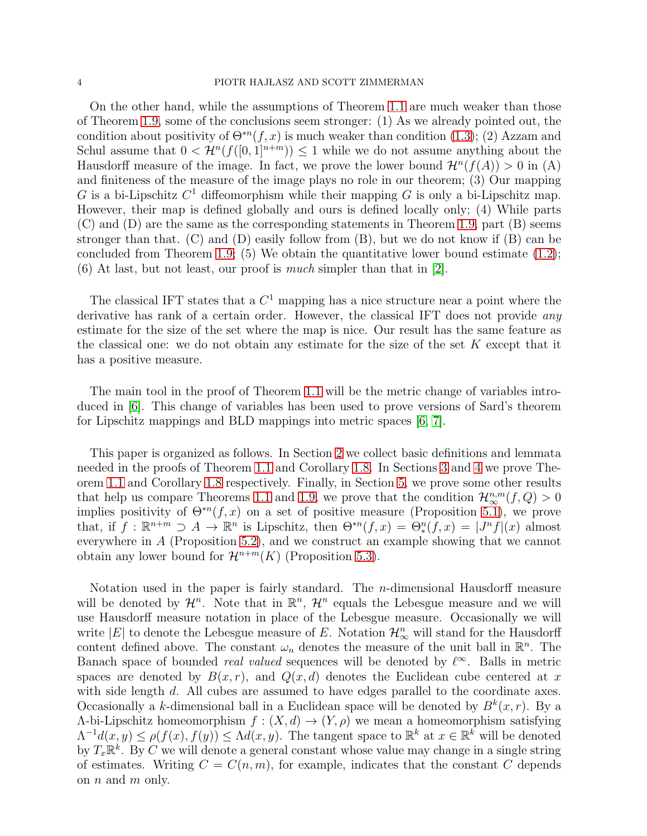On the other hand, while the assumptions of Theorem [1.1](#page-1-0) are much weaker than those of Theorem [1.9,](#page-2-0) some of the conclusions seem stronger: (1) As we already pointed out, the condition about positivity of  $\Theta^{*n}(f, x)$  is much weaker than condition [\(1.3\)](#page-2-2); (2) Azzam and Schul assume that  $0 < H^n(f([0,1]^{n+m})) \leq 1$  while we do not assume anything about the Hausdorff measure of the image. In fact, we prove the lower bound  $\mathcal{H}^n(f(A)) > 0$  in (A) and finiteness of the measure of the image plays no role in our theorem; (3) Our mapping G is a bi-Lipschitz  $C^1$  diffeomorphism while their mapping G is only a bi-Lipschitz map. However, their map is defined globally and ours is defined locally only; (4) While parts (C) and (D) are the same as the corresponding statements in Theorem [1.9,](#page-2-0) part (B) seems stronger than that. (C) and (D) easily follow from  $(B)$ , but we do not know if  $(B)$  can be concluded from Theorem [1.9;](#page-2-0) (5) We obtain the quantitative lower bound estimate  $(1.2)$ ;  $(6)$  At last, but not least, our proof is *much* simpler than that in [\[2\]](#page-19-0).

The classical IFT states that a  $C<sup>1</sup>$  mapping has a nice structure near a point where the derivative has rank of a certain order. However, the classical IFT does not provide *any* estimate for the size of the set where the map is nice. Our result has the same feature as the classical one: we do not obtain any estimate for the size of the set  $K$  except that it has a positive measure.

The main tool in the proof of Theorem [1.1](#page-1-0) will be the metric change of variables introduced in [\[6\]](#page-19-1). This change of variables has been used to prove versions of Sard's theorem for Lipschitz mappings and BLD mappings into metric spaces [\[6,](#page-19-1) [7\]](#page-19-8).

This paper is organized as follows. In Section [2](#page-4-0) we collect basic definitions and lemmata needed in the proofs of Theorem [1.1](#page-1-0) and Corollary [1.8.](#page-2-3) In Sections [3](#page-6-1) and [4](#page-11-0) we prove Theorem [1.1](#page-1-0) and Corollary [1.8](#page-2-3) respectively. Finally, in Section [5,](#page-11-2) we prove some other results that help us compare Theorems [1.1](#page-1-0) and [1.9,](#page-2-0) we prove that the condition  $\mathcal{H}_{\infty}^{n,m}(f,Q) > 0$ implies positivity of  $\Theta^{*n}(f, x)$  on a set of positive measure (Proposition [5.1\)](#page-11-1), we prove that, if  $f : \mathbb{R}^{n+m} \supseteq A \to \mathbb{R}^n$  is Lipschitz, then  $\Theta^{*n}(f,x) = \Theta_*^n(f,x) = |J^n f|(x)$  almost everywhere in A (Proposition [5.2\)](#page-13-0), and we construct an example showing that we cannot obtain any lower bound for  $\mathcal{H}^{n+m}(K)$  (Proposition [5.3\)](#page-18-0).

Notation used in the paper is fairly standard. The n-dimensional Hausdorff measure will be denoted by  $\mathcal{H}^n$ . Note that in  $\mathbb{R}^n$ ,  $\mathcal{H}^n$  equals the Lebesgue measure and we will use Hausdorff measure notation in place of the Lebesgue measure. Occasionally we will write |E| to denote the Lebesgue measure of E. Notation  $\mathcal{H}_{\infty}^n$  will stand for the Hausdorff content defined above. The constant  $\omega_n$  denotes the measure of the unit ball in  $\mathbb{R}^n$ . The Banach space of bounded *real valued* sequences will be denoted by  $\ell^{\infty}$ . Balls in metric spaces are denoted by  $B(x, r)$ , and  $Q(x, d)$  denotes the Euclidean cube centered at x with side length d. All cubes are assumed to have edges parallel to the coordinate axes. Occasionally a k-dimensional ball in a Euclidean space will be denoted by  $B^k(x, r)$ . By a Λ-bi-Lipschitz homeomorphism f : (X, d) → (Y, ρ) we mean a homeomorphism satisfying  $\Lambda^{-1}d(x,y) \leq \rho(f(x),f(y)) \leq \Lambda d(x,y)$ . The tangent space to  $\mathbb{R}^k$  at  $x \in \mathbb{R}^k$  will be denoted by  $T_x \mathbb{R}^k$ . By C we will denote a general constant whose value may change in a single string of estimates. Writing  $C = C(n, m)$ , for example, indicates that the constant C depends on  $n$  and  $m$  only.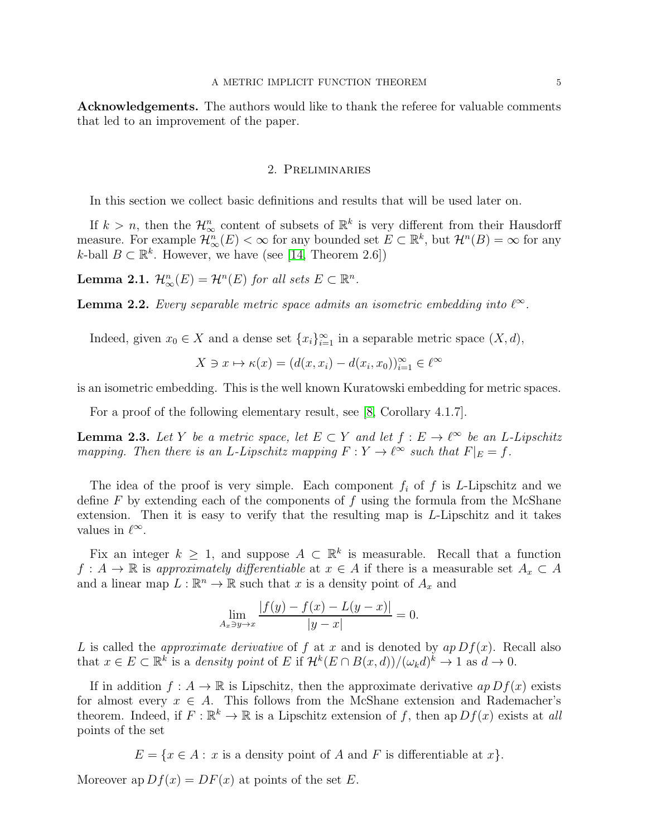<span id="page-4-0"></span>Acknowledgements. The authors would like to thank the referee for valuable comments that led to an improvement of the paper.

## 2. Preliminaries

In this section we collect basic definitions and results that will be used later on.

If  $k > n$ , then the  $\mathcal{H}_{\infty}^n$  content of subsets of  $\mathbb{R}^k$  is very different from their Hausdorff measure. For example  $\mathcal{H}_{\infty}^{n}(E) < \infty$  for any bounded set  $E \subset \mathbb{R}^{k}$ , but  $\mathcal{H}^{n}(B) = \infty$  for any k-ball  $B \subset \mathbb{R}^k$ . However, we have (see [\[14,](#page-19-4) Theorem 2.6])

<span id="page-4-3"></span>**Lemma 2.1.**  $\mathcal{H}_{\infty}^{n}(E) = \mathcal{H}^{n}(E)$  for all sets  $E \subset \mathbb{R}^{n}$ .

<span id="page-4-2"></span>**Lemma 2.2.** Every separable metric space admits an isometric embedding into  $\ell^{\infty}$ .

Indeed, given  $x_0 \in X$  and a dense set  $\{x_i\}_{i=1}^{\infty}$  in a separable metric space  $(X, d)$ ,

$$
X \ni x \mapsto \kappa(x) = (d(x, x_i) - d(x_i, x_0))_{i=1}^{\infty} \in \ell^{\infty}
$$

is an isometric embedding. This is the well known Kuratowski embedding for metric spaces.

For a proof of the following elementary result, see [\[8,](#page-19-9) Corollary 4.1.7].

<span id="page-4-1"></span>**Lemma 2.3.** Let Y be a metric space, let  $E \subset Y$  and let  $f : E \to \ell^{\infty}$  be an L-Lipschitz mapping. Then there is an L-Lipschitz mapping  $F: Y \to \ell^{\infty}$  such that  $F|_E = f$ .

The idea of the proof is very simple. Each component  $f_i$  of  $f$  is L-Lipschitz and we define  $F$  by extending each of the components of  $f$  using the formula from the McShane extension. Then it is easy to verify that the resulting map is L-Lipschitz and it takes values in  $\ell^{\infty}$ .

Fix an integer  $k \geq 1$ , and suppose  $A \subset \mathbb{R}^k$  is measurable. Recall that a function  $f: A \to \mathbb{R}$  is approximately differentiable at  $x \in A$  if there is a measurable set  $A_x \subset A$ and a linear map  $L : \mathbb{R}^n \to \mathbb{R}$  such that x is a density point of  $A_x$  and

$$
\lim_{A_x \ni y \to x} \frac{|f(y) - f(x) - L(y - x)|}{|y - x|} = 0.
$$

L is called the *approximate derivative* of f at x and is denoted by  $ap\ Df(x)$ . Recall also that  $x \in E \subset \mathbb{R}^k$  is a density point of E if  $\mathcal{H}^k(E \cap B(x,d)) / (\omega_k d)^k \to 1$  as  $d \to 0$ .

If in addition  $f : A \to \mathbb{R}$  is Lipschitz, then the approximate derivative  $ap\,Df(x)$  exists for almost every  $x \in A$ . This follows from the McShane extension and Rademacher's theorem. Indeed, if  $F : \mathbb{R}^k \to \mathbb{R}$  is a Lipschitz extension of f, then ap  $Df(x)$  exists at all points of the set

 $E = \{x \in A : x$  is a density point of A and F is differentiable at x.

Moreover ap  $Df(x) = DF(x)$  at points of the set E.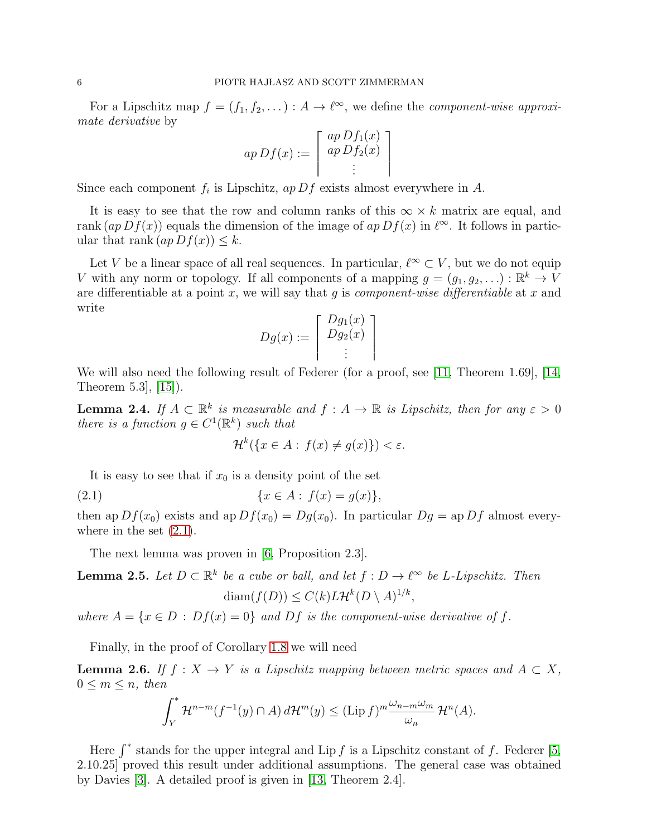For a Lipschitz map  $f = (f_1, f_2, \dots) : A \to \ell^{\infty}$ , we define the *component-wise approxi*mate derivative by

$$
ap\,Df(x) := \left[ \begin{array}{c} ap\,Df_1(x) \\ ap\,Df_2(x) \\ \vdots \end{array} \right]
$$

Since each component  $f_i$  is Lipschitz,  $ap\,Df$  exists almost everywhere in A.

It is easy to see that the row and column ranks of this  $\infty \times k$  matrix are equal, and rank  $(ap Df(x))$  equals the dimension of the image of  $ap Df(x)$  in  $\ell^{\infty}$ . It follows in particular that rank  $(ap Df(x)) \leq k$ .

Let V be a linear space of all real sequences. In particular,  $\ell^{\infty} \subset V$ , but we do not equip V with any norm or topology. If all components of a mapping  $g = (g_1, g_2, \ldots) : \mathbb{R}^k \to V$ are differentiable at a point x, we will say that q is *component-wise differentiable* at x and write

$$
Dg(x) := \left[ \begin{array}{c} Dg_1(x) \\ Dg_2(x) \\ \vdots \end{array} \right]
$$

We will also need the following result of Federer (for a proof, see [\[11,](#page-19-10) Theorem 1.69], [\[14,](#page-19-4) Theorem 5.3], [\[15\]](#page-19-11)).

<span id="page-5-0"></span>**Lemma 2.4.** If  $A \subset \mathbb{R}^k$  is measurable and  $f : A \to \mathbb{R}$  is Lipschitz, then for any  $\varepsilon > 0$ there is a function  $g \in C^1(\mathbb{R}^k)$  such that

<span id="page-5-1"></span>
$$
\mathcal{H}^k(\{x \in A : f(x) \neq g(x)\}) < \varepsilon.
$$

It is easy to see that if  $x_0$  is a density point of the set

(2.1) 
$$
\{x \in A : f(x) = g(x)\},\
$$

then ap  $Df(x_0)$  exists and ap  $Df(x_0) = Dg(x_0)$ . In particular  $Dg =$  ap  $Df$  almost everywhere in the set  $(2.1)$ .

The next lemma was proven in [\[6,](#page-19-1) Proposition 2.3].

<span id="page-5-2"></span>**Lemma 2.5.** Let  $D \subset \mathbb{R}^k$  be a cube or ball, and let  $f : D \to \ell^{\infty}$  be L-Lipschitz. Then  $\text{diam}(f(D)) \leq C(k)L\mathcal{H}^k(D\setminus A)^{1/k},$ 

where  $A = \{x \in D : Df(x) = 0\}$  and  $Df$  is the component-wise derivative of f.

Finally, in the proof of Corollary [1.8](#page-2-3) we will need

**Lemma 2.6.** If  $f : X \to Y$  is a Lipschitz mapping between metric spaces and  $A \subset X$ ,  $0 \leq m \leq n$ , then

$$
\int_Y^* \mathcal{H}^{n-m}(f^{-1}(y) \cap A) d\mathcal{H}^m(y) \le (\text{Lip } f)^m \frac{\omega_{n-m} \omega_m}{\omega_n} \mathcal{H}^n(A).
$$

Here  $\int^*$  stands for the upper integral and Lip f is a Lipschitz constant of f. Federer [\[5,](#page-19-12) 2.10.25] proved this result under additional assumptions. The general case was obtained by Davies [\[3\]](#page-19-13). A detailed proof is given in [\[13,](#page-19-6) Theorem 2.4].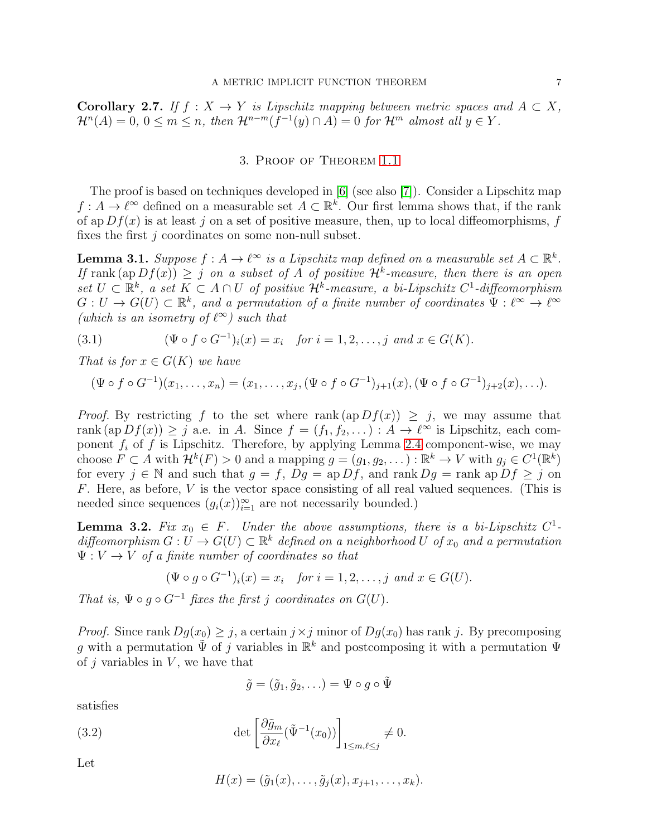<span id="page-6-4"></span><span id="page-6-1"></span>Corollary 2.7. If  $f : X \to Y$  is Lipschitz mapping between metric spaces and  $A \subset X$ ,  $\mathcal{H}^n(A) = 0, 0 \leq m \leq n$ , then  $\mathcal{H}^{n-m}(f^{-1}(y) \cap A) = 0$  for  $\mathcal{H}^m$  almost all  $y \in Y$ .

### 3. Proof of Theorem [1.1](#page-1-0)

The proof is based on techniques developed in [\[6\]](#page-19-1) (see also [\[7\]](#page-19-8)). Consider a Lipschitz map  $f: A \to \ell^{\infty}$  defined on a measurable set  $A \subset \mathbb{R}^k$ . Our first lemma shows that, if the rank of ap  $Df(x)$  is at least j on a set of positive measure, then, up to local diffeomorphisms, f fixes the first  $j$  coordinates on some non-null subset.

<span id="page-6-0"></span>**Lemma 3.1.** Suppose  $f : A \to \ell^{\infty}$  is a Lipschitz map defined on a measurable set  $A \subset \mathbb{R}^k$ . If rank  $(\text{ap }Df(x)) \geq j$  on a subset of A of positive  $\mathcal{H}^k$ -measure, then there is an open set  $U \subset \mathbb{R}^k$ , a set  $K \subset A \cap U$  of positive  $\mathcal{H}^k$ -measure, a bi-Lipschitz  $C^1$ -diffeomorphism  $G: U \to G(U) \subset \mathbb{R}^k$ , and a permutation of a finite number of coordinates  $\Psi: \ell^{\infty} \to \ell^{\infty}$ (which is an isometry of  $\ell^{\infty}$ ) such that

<span id="page-6-3"></span>(3.1) 
$$
(\Psi \circ f \circ G^{-1})_i(x) = x_i \text{ for } i = 1, 2, ..., j \text{ and } x \in G(K).
$$

That is for  $x \in G(K)$  we have

$$
(\Psi \circ f \circ G^{-1})(x_1,\ldots,x_n) = (x_1,\ldots,x_j, (\Psi \circ f \circ G^{-1})_{j+1}(x), (\Psi \circ f \circ G^{-1})_{j+2}(x),\ldots).
$$

*Proof.* By restricting f to the set where rank  $(ap Df(x)) \geq j$ , we may assume that rank  $(\text{ap }Df(x)) \geq j$  a.e. in A. Since  $f = (f_1, f_2, \dots) : A \to \ell^{\infty}$  is Lipschitz, each component  $f_i$  of f is Lipschitz. Therefore, by applying Lemma [2.4](#page-5-0) component-wise, we may choose  $F \subset A$  with  $\mathcal{H}^k(F) > 0$  and a mapping  $g = (g_1, g_2, \dots) : \mathbb{R}^k \to V$  with  $g_j \in C^1(\mathbb{R}^k)$ for every  $j \in \mathbb{N}$  and such that  $g = f$ ,  $Dg = \text{ap } Df$ , and  $\text{rank } Dg = \text{rank } \text{ap } Df \geq j$  on F. Here, as before,  $V$  is the vector space consisting of all real valued sequences. (This is needed since sequences  $(g_i(x))_{i=1}^{\infty}$  are not necessarily bounded.)

**Lemma 3.2.** Fix  $x_0 \in F$ . Under the above assumptions, there is a bi-Lipschitz  $C^1$ diffeomorphism  $G: U \to G(U) \subset \mathbb{R}^k$  defined on a neighborhood U of  $x_0$  and a permutation  $\Psi: V \to V$  of a finite number of coordinates so that

$$
(\Psi \circ g \circ G^{-1})_i(x) = x_i \quad \text{for } i = 1, 2, \dots, j \text{ and } x \in G(U).
$$

That is,  $\Psi \circ q \circ G^{-1}$  fixes the first j coordinates on  $G(U)$ .

*Proof.* Since rank  $Dg(x_0) \geq j$ , a certain  $j \times j$  minor of  $Dg(x_0)$  has rank j. By precomposing g with a permutation  $\tilde{\Psi}$  of j variables in  $\mathbb{R}^k$  and postcomposing it with a permutation  $\Psi$ of  $j$  variables in  $V$ , we have that

$$
\tilde{g} = (\tilde{g}_1, \tilde{g}_2, \ldots) = \Psi \circ g \circ \tilde{\Psi}
$$

satisfies

(3.2) 
$$
\det \left[ \frac{\partial \tilde{g}_m}{\partial x_\ell} (\tilde{\Psi}^{-1}(x_0)) \right]_{1 \leq m,\ell \leq j} \neq 0.
$$

Let

<span id="page-6-2"></span>
$$
H(x) = (\tilde{g}_1(x), \ldots, \tilde{g}_j(x), x_{j+1}, \ldots, x_k).
$$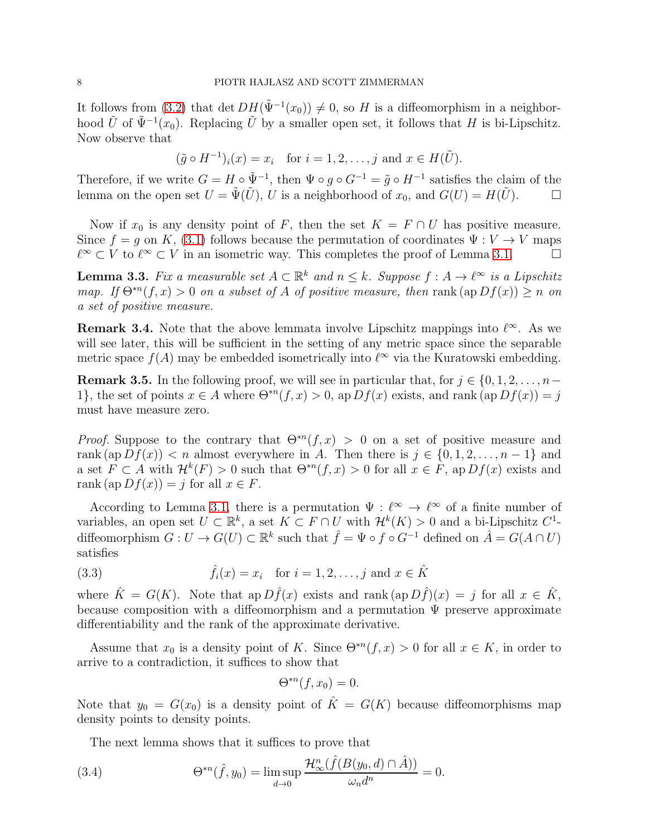It follows from [\(3.2\)](#page-6-2) that det  $DH(\tilde{\Psi}^{-1}(x_0)) \neq 0$ , so H is a diffeomorphism in a neighborhood  $\tilde{U}$  of  $\tilde{\Psi}^{-1}(x_0)$ . Replacing  $\tilde{U}$  by a smaller open set, it follows that H is bi-Lipschitz. Now observe that

$$
(\tilde{g} \circ H^{-1})_i(x) = x_i
$$
 for  $i = 1, 2, ..., j$  and  $x \in H(\tilde{U})$ .

Therefore, if we write  $G = H \circ \tilde{\Psi}^{-1}$ , then  $\Psi \circ g \circ G^{-1} = \tilde{g} \circ H^{-1}$  satisfies the claim of the lemma on the open set  $U = \tilde{\Psi}(\tilde{U}), U$  is a neighborhood of  $x_0$ , and  $G(U) = H(\tilde{U})$ .

Now if  $x_0$  is any density point of F, then the set  $K = F \cap U$  has positive measure. Since  $f = g$  on K, [\(3.1\)](#page-6-3) follows because the permutation of coordinates  $\Psi : V \to V$  maps  $\ell^{\infty} \subset V$  to  $\ell^{\infty} \subset V$  in an isometric way. This completes the proof of Lemma 3.1.  $\ell^{\infty} \subset V$  to  $\ell^{\infty} \subset V$  in an isometric way. This completes the proof of Lemma [3.1.](#page-6-0)

<span id="page-7-1"></span>**Lemma 3.3.** Fix a measurable set  $A \subset \mathbb{R}^k$  and  $n \leq k$ . Suppose  $f : A \to \ell^{\infty}$  is a Lipschitz map. If  $\Theta^{*n}(f, x) > 0$  on a subset of A of positive measure, then rank  $(\text{ap } Df(x)) \geq n$  on a set of positive measure.

**Remark 3.4.** Note that the above lemmata involve Lipschitz mappings into  $\ell^{\infty}$ . As we will see later, this will be sufficient in the setting of any metric space since the separable metric space  $f(A)$  may be embedded isometrically into  $\ell^{\infty}$  via the Kuratowski embedding.

<span id="page-7-0"></span>**Remark 3.5.** In the following proof, we will see in particular that, for  $j \in \{0, 1, 2, \ldots, n-\}$ 1}, the set of points  $x \in A$  where  $\Theta^{*n}(f, x) > 0$ , ap  $Df(x)$  exists, and rank  $(ap Df(x)) = j$ must have measure zero.

*Proof.* Suppose to the contrary that  $\Theta^{*n}(f,x) > 0$  on a set of positive measure and rank (ap  $Df(x)$ ) < n almost everywhere in A. Then there is  $j \in \{0, 1, 2, ..., n-1\}$  and a set  $F \subset A$  with  $\mathcal{H}^k(F) > 0$  such that  $\Theta^{*n}(f, x) > 0$  for all  $x \in F$ , ap  $Df(x)$  exists and rank (ap  $Df(x) = i$  for all  $x \in F$ .

According to Lemma [3.1,](#page-6-0) there is a permutation  $\Psi : \ell^{\infty} \to \ell^{\infty}$  of a finite number of variables, an open set  $U \subset \mathbb{R}^k$ , a set  $K \subset F \cap U$  with  $\mathcal{H}^k(K) > 0$  and a bi-Lipschitz  $C^1$ diffeomorphism  $G: U \to G(U) \subset \mathbb{R}^k$  such that  $\hat{f} = \Psi \circ f \circ G^{-1}$  defined on  $\hat{A} = G(A \cap U)$ satisfies

(3.3) 
$$
\hat{f}_i(x) = x_i \text{ for } i = 1, 2, ..., j \text{ and } x \in \hat{K}
$$

where  $\hat{K} = G(K)$ . Note that ap  $D \hat{f}(x)$  exists and rank (ap  $D \hat{f}(x) = j$  for all  $x \in \hat{K}$ , because composition with a diffeomorphism and a permutation  $\Psi$  preserve approximate differentiability and the rank of the approximate derivative.

Assume that  $x_0$  is a density point of K. Since  $\Theta^{*n}(f, x) > 0$  for all  $x \in K$ , in order to arrive to a contradiction, it suffices to show that

<span id="page-7-3"></span>
$$
\Theta^{*n}(f, x_0) = 0.
$$

Note that  $y_0 = G(x_0)$  is a density point of  $\hat{K} = G(K)$  because diffeomorphisms map density points to density points.

<span id="page-7-2"></span>The next lemma shows that it suffices to prove that

(3.4) 
$$
\Theta^{*n}(\hat{f}, y_0) = \limsup_{d \to 0} \frac{\mathcal{H}^n_{\infty}(\hat{f}(B(y_0, d) \cap \hat{A}))}{\omega_n d^n} = 0.
$$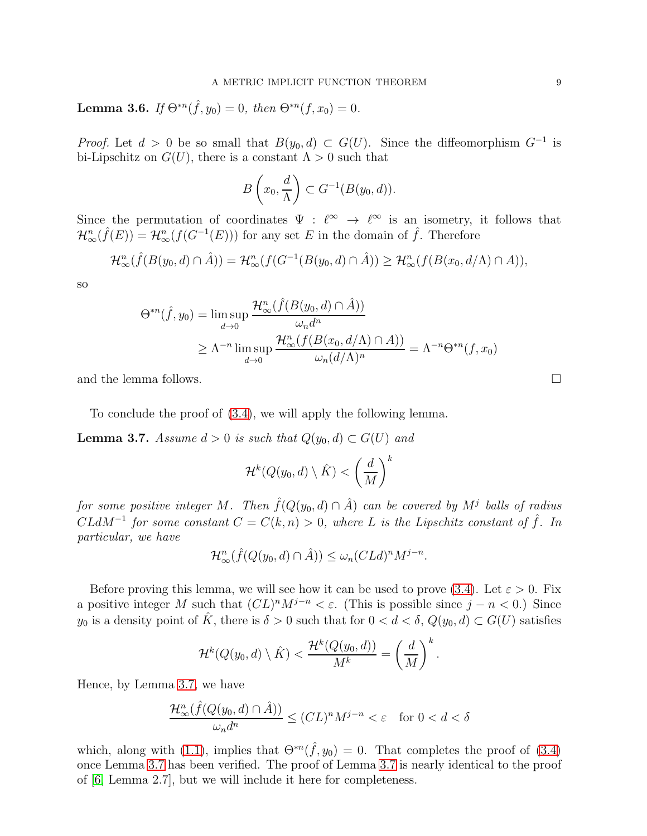Lemma 3.6. If  $\Theta^{*n}(\hat{f}, y_0) = 0$ , then  $\Theta^{*n}(f, x_0) = 0$ .

*Proof.* Let  $d > 0$  be so small that  $B(y_0, d) \subset G(U)$ . Since the diffeomorphism  $G^{-1}$  is bi-Lipschitz on  $G(U)$ , there is a constant  $\Lambda > 0$  such that

$$
B\left(x_0,\frac{d}{\Lambda}\right) \subset G^{-1}(B(y_0,d)).
$$

Since the permutation of coordinates  $\Psi : \ell^{\infty} \to \ell^{\infty}$  is an isometry, it follows that  $\mathcal{H}_{\infty}^n(\hat{f}(E)) = \mathcal{H}_{\infty}^n(f(G^{-1}(E)))$  for any set E in the domain of  $\hat{f}$ . Therefore

$$
\mathcal{H}_{\infty}^n(\hat{f}(B(y_0,d)\cap \hat{A}))=\mathcal{H}_{\infty}^n(f(G^{-1}(B(y_0,d)\cap \hat{A}))\geq \mathcal{H}_{\infty}^n(f(B(x_0,d/\Lambda)\cap A)),
$$

so

$$
\Theta^{*n}(\hat{f}, y_0) = \limsup_{d \to 0} \frac{\mathcal{H}^n_{\infty}(\hat{f}(B(y_0, d) \cap \hat{A}))}{\omega_n d^n}
$$

$$
\geq \Lambda^{-n} \limsup_{d \to 0} \frac{\mathcal{H}^n_{\infty}(f(B(x_0, d/\Lambda) \cap A))}{\omega_n (d/\Lambda)^n} = \Lambda^{-n} \Theta^{*n}(f, x_0)
$$

and the lemma follows.

To conclude the proof of [\(3.4\)](#page-7-2), we will apply the following lemma.

<span id="page-8-0"></span>**Lemma 3.7.** Assume  $d > 0$  is such that  $Q(y_0, d) \subset G(U)$  and

$$
\mathcal{H}^k(Q(y_0, d) \setminus \hat{K}) < \left(\frac{d}{M}\right)^k
$$

for some positive integer M. Then  $\hat{f}(Q(y_0, d) \cap \hat{A})$  can be covered by  $M^j$  balls of radius  $CLdM^{-1}$  for some constant  $C = C(k, n) > 0$ , where L is the Lipschitz constant of  $\hat{f}$ . In particular, we have

$$
\mathcal{H}_{\infty}^n(\hat{f}(Q(y_0,d)\cap \hat{A})) \le \omega_n (CLd)^n M^{j-n}.
$$

Before proving this lemma, we will see how it can be used to prove [\(3.4\)](#page-7-2). Let  $\varepsilon > 0$ . Fix a positive integer M such that  $(CL)^n M^{j-n} < \varepsilon$ . (This is possible since  $j - n < 0$ .) Since  $y_0$  is a density point of  $\hat{K}$ , there is  $\delta > 0$  such that for  $0 < d < \delta$ ,  $Q(y_0, d) \subset G(U)$  satisfies

$$
\mathcal{H}^{k}(Q(y_0,d)\setminus \hat{K}) < \frac{\mathcal{H}^{k}(Q(y_0,d))}{M^k} = \left(\frac{d}{M}\right)^k.
$$

Hence, by Lemma [3.7,](#page-8-0) we have

$$
\frac{\mathcal{H}^n_\infty(\widehat{f}(Q(y_0,d)\cap \hat{A}))}{\omega_n d^n}\leq (CL)^nM^{j-n}<\varepsilon\quad \text{for }0
$$

which, along with [\(1.1\)](#page-1-2), implies that  $\Theta^{*n}(\hat{f}, y_0) = 0$ . That completes the proof of [\(3.4\)](#page-7-2) once Lemma [3.7](#page-8-0) has been verified. The proof of Lemma [3.7](#page-8-0) is nearly identical to the proof of [\[6,](#page-19-1) Lemma 2.7], but we will include it here for completeness.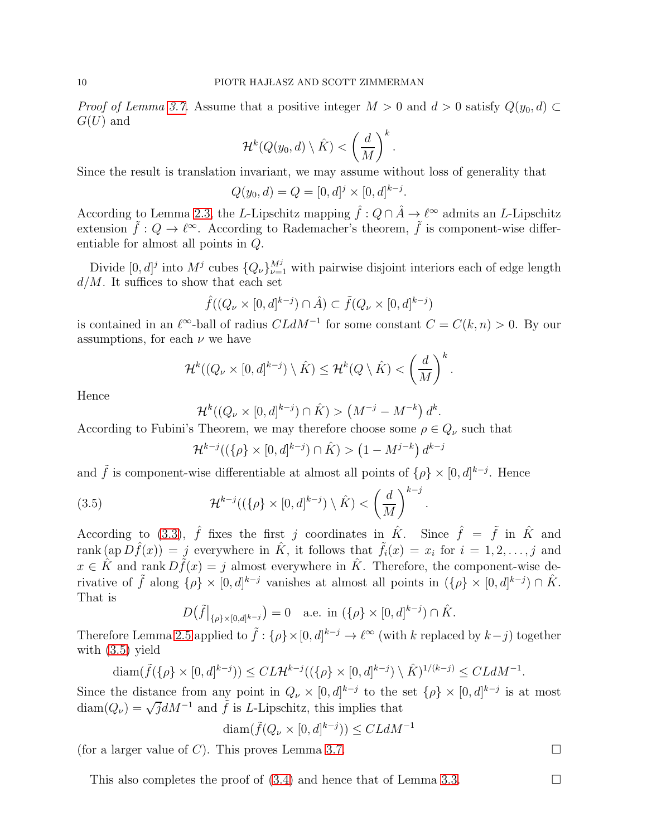*Proof of Lemma [3.7.](#page-8-0)* Assume that a positive integer  $M > 0$  and  $d > 0$  satisfy  $Q(y_0, d) \subset$  $G(U)$  and

$$
\mathcal{H}^{k}(Q(y_0,d)\setminus \hat{K}) < \left(\frac{d}{M}\right)^k.
$$

Since the result is translation invariant, we may assume without loss of generality that

$$
Q(y_0, d) = Q = [0, d]^j \times [0, d]^{k-j}.
$$

According to Lemma [2.3,](#page-4-1) the L-Lipschitz mapping  $\hat{f}: Q \cap \hat{A} \to \ell^{\infty}$  admits an L-Lipschitz extension  $\tilde{f}: Q \to \ell^{\infty}$ . According to Rademacher's theorem,  $\tilde{f}$  is component-wise differentiable for almost all points in Q.

Divide  $[0, d]^j$  into  $M^j$  cubes  $\{Q_\nu\}_{\nu=1}^{M^j}$  with pairwise disjoint interiors each of edge length  $d/M$ . It suffices to show that each set

$$
\hat{f}((Q_{\nu} \times [0, d]^{k-j}) \cap \hat{A}) \subset \tilde{f}(Q_{\nu} \times [0, d]^{k-j})
$$

is contained in an  $\ell^{\infty}$ -ball of radius  $CLdM^{-1}$  for some constant  $C = C(k, n) > 0$ . By our assumptions, for each  $\nu$  we have

$$
\mathcal{H}^{k}((Q_{\nu}\times[0,d]^{k-j})\setminus\hat{K})\leq\mathcal{H}^{k}(Q\setminus\hat{K})<\left(\frac{d}{M}\right)^{k}.
$$

Hence

$$
\mathcal{H}^k((Q_\nu \times [0, d]^{k-j}) \cap \hat{K}) > (M^{-j} - M^{-k}) d^k.
$$

According to Fubini's Theorem, we may therefore choose some  $\rho \in Q_{\nu}$  such that

<span id="page-9-0"></span>
$$
\mathcal{H}^{k-j}((\{\rho\} \times [0,d]^{k-j}) \cap \hat{K}) > (1 - M^{j-k}) d^{k-j}
$$

.

and  $\tilde{f}$  is component-wise differentiable at almost all points of  $\{\rho\} \times [0, d]^{k-j}$ . Hence

(3.5) 
$$
\mathcal{H}^{k-j}((\{\rho\} \times [0,d]^{k-j}) \setminus \hat{K}) < \left(\frac{d}{M}\right)^{k-j}
$$

According to [\(3.3\)](#page-7-3),  $\hat{f}$  fixes the first j coordinates in  $\hat{K}$ . Since  $\hat{f} = \tilde{f}$  in  $\hat{K}$  and rank  $(ap D\hat{f}(x)) = j$  everywhere in  $\hat{K}$ , it follows that  $\tilde{f}_i(x) = x_i$  for  $i = 1, 2, \ldots, j$  and  $x \in \hat{K}$  and rank  $D\tilde{f}(x) = j$  almost everywhere in  $\hat{K}$ . Therefore, the component-wise derivative of  $\tilde{f}$  along  $\{\rho\} \times [0, d]^{k-j}$  vanishes at almost all points in  $(\{\rho\} \times [0, d]^{k-j}) \cap \hat{K}$ . That is

$$
D\big(\tilde{f}\big|_{\{\rho\}\times[0,d]^{k-j}}\big)=0\quad\text{a.e. in }(\{\rho\}\times[0,d]^{k-j})\cap\hat{K}.
$$

Therefore Lemma [2.5](#page-5-2) applied to  $\tilde{f}$  :  $\{\rho\} \times [0, d]^{k-j} \to \ell^{\infty}$  (with k replaced by  $k-j$ ) together with [\(3.5\)](#page-9-0) yield

$$
\operatorname{diam}(\tilde{f}(\{\rho\} \times [0,d]^{k-j})) \leq CL\mathcal{H}^{k-j}((\{\rho\} \times [0,d]^{k-j}) \setminus \hat{K})^{1/(k-j)} \leq CLdM^{-1}.
$$

Since the distance from any point in  $Q_{\nu} \times [0, d]^{k-j}$  to the set  $\{\rho\} \times [0, d]^{k-j}$  is at most  $\text{diam}(Q_{\nu}) = \sqrt{j}dM^{-1}$  and  $\tilde{f}$  is L-Lipschitz, this implies that

$$
\textnormal{diam}(\tilde{f}(Q_{\nu}\times [0,d]^{k-j}))\leq CLdM^{-1}
$$

(for a larger value of C). This proves Lemma [3.7.](#page-8-0)

This also completes the proof of  $(3.4)$  and hence that of Lemma [3.3.](#page-7-1)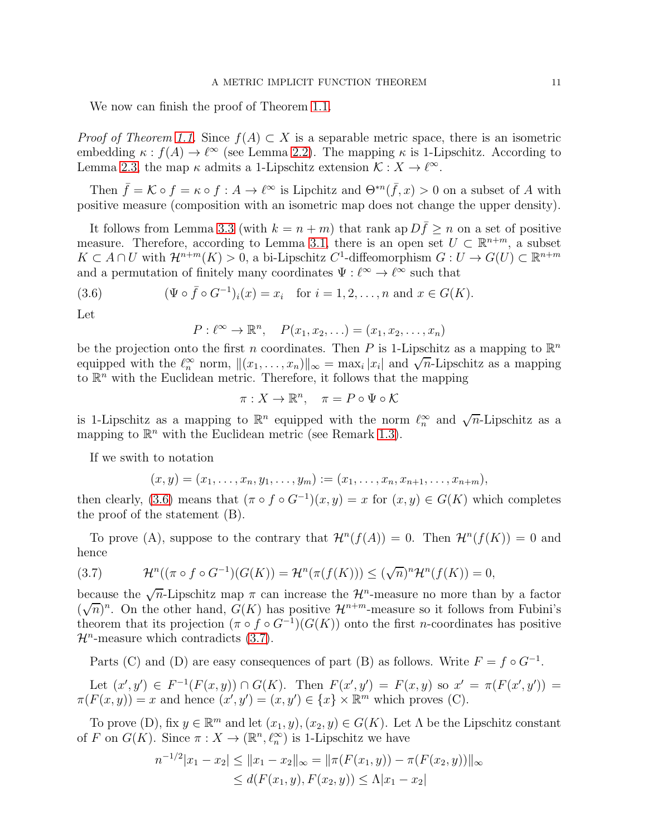We now can finish the proof of Theorem [1.1.](#page-1-0)

*Proof of Theorem [1.1.](#page-1-0)* Since  $f(A) \subset X$  is a separable metric space, there is an isometric embedding  $\kappa : f(A) \to \ell^{\infty}$  (see Lemma [2.2\)](#page-4-2). The mapping  $\kappa$  is 1-Lipschitz. According to Lemma [2.3,](#page-4-1) the map  $\kappa$  admits a 1-Lipschitz extension  $\mathcal{K}: X \to \ell^{\infty}$ .

Then  $\bar{f} = \mathcal{K} \circ f = \kappa \circ f : A \to \ell^{\infty}$  is Lipchitz and  $\Theta^{*n}(\bar{f}, x) > 0$  on a subset of A with positive measure (composition with an isometric map does not change the upper density).

It follows from Lemma [3.3](#page-7-1) (with  $k = n + m$ ) that rank ap  $D\bar{f} \ge n$  on a set of positive measure. Therefore, according to Lemma [3.1,](#page-6-0) there is an open set  $U \subset \mathbb{R}^{n+m}$ , a subset  $K \subset A \cap U$  with  $\mathcal{H}^{n+m}(K) > 0$ , a bi-Lipschitz  $C^1$ -diffeomorphism  $G: U \to G(U) \subset \mathbb{R}^{n+m}$ and a permutation of finitely many coordinates  $\Psi : \ell^{\infty} \to \ell^{\infty}$  such that

(3.6) 
$$
(\Psi \circ \bar{f} \circ G^{-1})_i(x) = x_i \text{ for } i = 1, 2, ..., n \text{ and } x \in G(K).
$$

Let

<span id="page-10-0"></span>
$$
P: \ell^{\infty} \to \mathbb{R}^n, \quad P(x_1, x_2, \ldots) = (x_1, x_2, \ldots, x_n)
$$

be the projection onto the first n coordinates. Then P is 1-Lipschitz as a mapping to  $\mathbb{R}^n$ equipped with the  $\ell_n^{\infty}$  norm,  $\|(x_1, \ldots, x_n)\|_{\infty} = \max_i |x_i|$  and  $\sqrt{n}$ -Lipschitz as a mapping to  $\mathbb{R}^n$  with the Euclidean metric. Therefore, it follows that the mapping

$$
\pi: X \to \mathbb{R}^n, \quad \pi = P \circ \Psi \circ \mathcal{K}
$$

is 1-Lipschitz as a mapping to  $\mathbb{R}^n$  equipped with the norm  $\ell_n^{\infty}$  and  $\sqrt{n}$ -Lipschitz as a mapping to  $\mathbb{R}^n$  with the Euclidean metric (see Remark [1.3\)](#page-1-3).

If we swith to notation

$$
(x,y)=(x_1,\ldots,x_n,y_1,\ldots,y_m):=(x_1,\ldots,x_n,x_{n+1},\ldots,x_{n+m}),
$$

then clearly, [\(3.6\)](#page-10-0) means that  $(\pi \circ f \circ G^{-1})(x, y) = x$  for  $(x, y) \in G(K)$  which completes the proof of the statement (B).

To prove (A), suppose to the contrary that  $\mathcal{H}^n(f(A)) = 0$ . Then  $\mathcal{H}^n(f(K)) = 0$  and hence

<span id="page-10-1"></span>(3.7) 
$$
\mathcal{H}^n((\pi \circ f \circ G^{-1})(G(K))) = \mathcal{H}^n(\pi(f(K))) \le (\sqrt{n})^n \mathcal{H}^n(f(K)) = 0,
$$

because the  $\sqrt{n}$ -Lipschitz map  $\pi$  can increase the  $\mathcal{H}^n$ -measure no more than by a factor  $(\sqrt{n})^n$ . On the other hand,  $G(K)$  has positive  $\mathcal{H}^{n+m}$ -measure so it follows from Fubini's theorem that its projection  $(\pi \circ f \circ G^{-1})(G(K))$  onto the first n-coordinates has positive  $\mathcal{H}^n$ -measure which contradicts [\(3.7\)](#page-10-1).

Parts (C) and (D) are easy consequences of part (B) as follows. Write  $F = f \circ G^{-1}$ .

Let  $(x', y') \in F^{-1}(F(x, y)) \cap G(K)$ . Then  $F(x', y') = F(x, y)$  so  $x' = \pi(F(x', y')) =$  $\pi(F(x, y)) = x$  and hence  $(x', y') = (x, y') \in \{x\} \times \mathbb{R}^m$  which proves (C).

To prove (D), fix  $y \in \mathbb{R}^m$  and let  $(x_1, y), (x_2, y) \in G(K)$ . Let  $\Lambda$  be the Lipschitz constant of F on  $G(K)$ . Since  $\pi: X \to (\mathbb{R}^n, \ell_n^{\infty})$  is 1-Lipschitz we have

$$
n^{-1/2}|x_1 - x_2| \le ||x_1 - x_2||_{\infty} = ||\pi(F(x_1, y)) - \pi(F(x_2, y))||_{\infty}
$$
  
\n
$$
\le d(F(x_1, y), F(x_2, y)) \le \Lambda |x_1 - x_2|
$$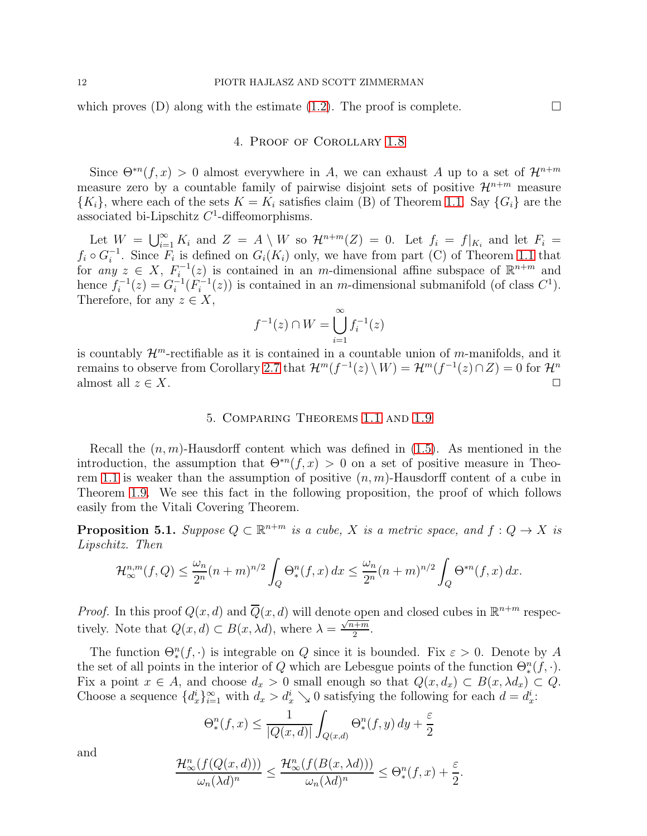<span id="page-11-0"></span>which proves (D) along with the estimate [\(1.2\)](#page-1-1). The proof is complete.  $\Box$ 

# 4. Proof of Corollary [1.8](#page-2-3)

Since  $\Theta^{*n}(f,x) > 0$  almost everywhere in A, we can exhaust A up to a set of  $\mathcal{H}^{n+m}$ measure zero by a countable family of pairwise disjoint sets of positive  $\mathcal{H}^{n+m}$  measure  ${K_i}$ , where each of the sets  $K = K_i$  satisfies claim (B) of Theorem [1.1.](#page-1-0) Say  ${G_i}$  are the associated bi-Lipschitz  $C<sup>1</sup>$ -diffeomorphisms.

Let  $W = \bigcup_{i=1}^{\infty} K_i$  and  $Z = A \setminus W$  so  $\mathcal{H}^{n+m}(Z) = 0$ . Let  $f_i = f|_{K_i}$  and let  $F_i =$  $f_i \circ G_i^{-1}$ . Since  $F_i$  is defined on  $G_i(K_i)$  only, we have from part (C) of Theorem [1.1](#page-1-0) that for any  $z \in X$ ,  $F_i^{-1}(z)$  is contained in an m-dimensional affine subspace of  $\mathbb{R}^{n+m}$  and hence  $f_i^{-1}(z) = G_i^{-1}(F_i^{-1}(z))$  is contained in an m-dimensional submanifold (of class  $C^1$ ). Therefore, for any  $z \in X$ ,

$$
f^{-1}(z) \cap W = \bigcup_{i=1}^{\infty} f_i^{-1}(z)
$$

<span id="page-11-2"></span>is countably  $\mathcal{H}^m$ -rectifiable as it is contained in a countable union of m-manifolds, and it remains to observe from Corollary [2.7](#page-6-4) that  $\mathcal{H}^m(f^{-1}(z) \setminus W) = \mathcal{H}^m(f^{-1}(z) \cap Z) = 0$  for  $\mathcal{H}^n$ almost all  $z \in X$ .

### 5. Comparing Theorems [1.1](#page-1-0) and [1.9](#page-2-0)

Recall the  $(n, m)$ -Hausdorff content which was defined in  $(1.5)$ . As mentioned in the introduction, the assumption that  $\Theta^{*n}(f, x) > 0$  on a set of positive measure in Theo-rem [1.1](#page-1-0) is weaker than the assumption of positive  $(n, m)$ -Hausdorff content of a cube in Theorem [1.9.](#page-2-0) We see this fact in the following proposition, the proof of which follows easily from the Vitali Covering Theorem.

<span id="page-11-1"></span>**Proposition 5.1.** Suppose  $Q \subset \mathbb{R}^{n+m}$  is a cube, X is a metric space, and  $f: Q \to X$  is Lipschitz. Then

$$
\mathcal{H}_{\infty}^{n,m}(f,Q) \le \frac{\omega_n}{2^n}(n+m)^{n/2} \int_Q \Theta_*^n(f,x) dx \le \frac{\omega_n}{2^n}(n+m)^{n/2} \int_Q \Theta^{*n}(f,x) dx.
$$

*Proof.* In this proof  $Q(x, d)$  and  $\overline{Q}(x, d)$  will denote open and closed cubes in  $\mathbb{R}^{n+m}$  respectively. Note that  $Q(x, d) \subset B(x, \lambda d)$ , where  $\lambda = \frac{\sqrt{n+m}}{2}$  $\frac{n+m}{2}$ .

The function  $\Theta_*^n(f, \cdot)$  is integrable on Q since it is bounded. Fix  $\varepsilon > 0$ . Denote by A the set of all points in the interior of Q which are Lebesgue points of the function  $\Theta_*^n(f, \cdot)$ . Fix a point  $x \in A$ , and choose  $d_x > 0$  small enough so that  $Q(x, d_x) \subset B(x, \lambda d_x) \subset Q$ . Choose a sequence  $\{d_x^i\}_{i=1}^{\infty}$  with  $d_x > d_x^i \searrow 0$  satisfying the following for each  $d = d_x^i$ .

$$
\Theta_*^n(f, x) \le \frac{1}{|Q(x,d)|} \int_{Q(x,d)} \Theta_*^n(f, y) dy + \frac{\varepsilon}{2}
$$

and

$$
\frac{\mathcal{H}^n_{\infty}(f(Q(x,d)))}{\omega_n(\lambda d)^n} \le \frac{\mathcal{H}^n_{\infty}(f(B(x,\lambda d)))}{\omega_n(\lambda d)^n} \le \Theta_*^n(f,x) + \frac{\varepsilon}{2}.
$$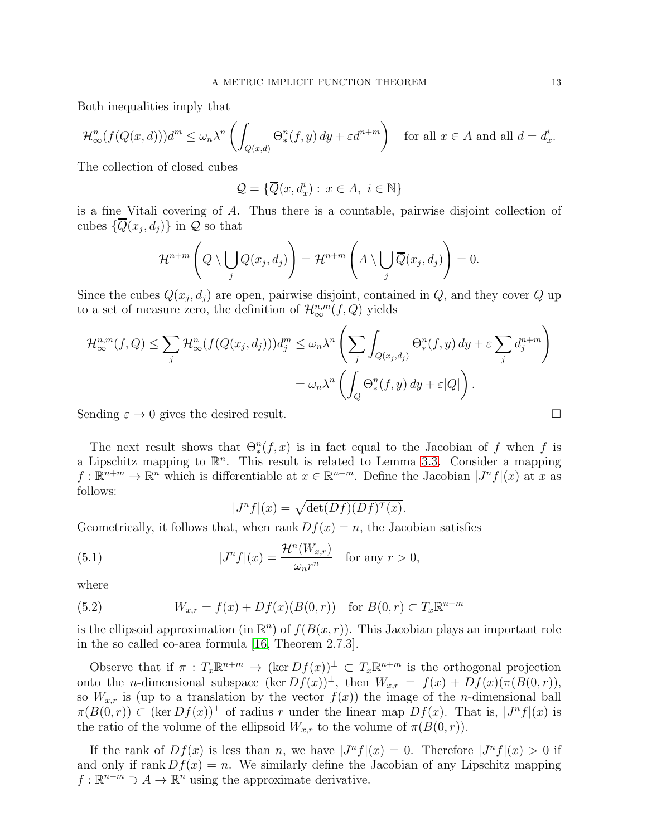Both inequalities imply that

$$
\mathcal{H}^n_\infty(f(Q(x,d)))d^m \le \omega_n\lambda^n \left(\int_{Q(x,d)} \Theta^n_*(f,y) \, dy + \varepsilon d^{n+m}\right) \quad \text{for all } x \in A \text{ and all } d = d^i_x.
$$

The collection of closed cubes

$$
\mathcal{Q} = \{ \overline{Q}(x, d_x^i) : x \in A, i \in \mathbb{N} \}
$$

is a fine Vitali covering of A. Thus there is a countable, pairwise disjoint collection of cubes  $\{Q(x_j, d_j)\}\$ in  $\mathcal Q$  so that

$$
\mathcal{H}^{n+m}\left(Q\setminus\bigcup_j Q(x_j,d_j)\right)=\mathcal{H}^{n+m}\left(A\setminus\bigcup_j\overline{Q}(x_j,d_j)\right)=0.
$$

Since the cubes  $Q(x_j, d_j)$  are open, pairwise disjoint, contained in  $Q$ , and they cover  $Q$  up to a set of measure zero, the definition of  $\mathcal{H}_{\infty}^{n,m}(f,Q)$  yields

$$
\mathcal{H}_{\infty}^{n,m}(f,Q) \leq \sum_{j} \mathcal{H}_{\infty}^{n}(f(Q(x_j,d_j)))d_j^m \leq \omega_n\lambda^n \left(\sum_{j} \int_{Q(x_j,d_j)} \Theta_*^n(f,y) dy + \varepsilon \sum_{j} d_j^{n+m}\right)
$$

$$
= \omega_n\lambda^n \left(\int_Q \Theta_*^n(f,y) dy + \varepsilon |Q|\right).
$$

Sending  $\varepsilon \to 0$  gives the desired result.

The next result shows that  $\Theta_*^n(f, x)$  is in fact equal to the Jacobian of f when f is a Lipschitz mapping to  $\mathbb{R}^n$ . This result is related to Lemma [3.3.](#page-7-1) Consider a mapping  $f: \mathbb{R}^{n+m} \to \mathbb{R}^n$  which is differentiable at  $x \in \mathbb{R}^{n+m}$ . Define the Jacobian  $|J^n f|(x)$  at x as follows:

<span id="page-12-1"></span>
$$
|J^n f|(x) = \sqrt{\det(Df)(Df)^T(x)}.
$$

Geometrically, it follows that, when rank  $Df(x) = n$ , the Jacobian satisfies

(5.1) 
$$
|J^n f|(x) = \frac{\mathcal{H}^n(W_{x,r})}{\omega_n r^n} \text{ for any } r > 0,
$$

where

<span id="page-12-0"></span>(5.2) 
$$
W_{x,r} = f(x) + Df(x)(B(0,r)) \text{ for } B(0,r) \subset T_x \mathbb{R}^{n+m}
$$

is the ellipsoid approximation (in  $\mathbb{R}^n$ ) of  $f(B(x, r))$ . This Jacobian plays an important role in the so called co-area formula [\[16,](#page-19-14) Theorem 2.7.3].

Observe that if  $\pi : T_x \mathbb{R}^{n+m} \to (\ker Df(x))^{\perp} \subset T_x \mathbb{R}^{n+m}$  is the orthogonal projection onto the *n*-dimensional subspace  $(\ker Df(x))^{\perp}$ , then  $W_{x,r} = f(x) + Df(x)(\pi(B(0,r)))$ , so  $W_{x,r}$  is (up to a translation by the vector  $f(x)$ ) the image of the *n*-dimensional ball  $\pi(B(0,r)) \subset (\ker Df(x))^{\perp}$  of radius r under the linear map  $Df(x)$ . That is,  $|J^n f|(x)$  is the ratio of the volume of the ellipsoid  $W_{x,r}$  to the volume of  $\pi(B(0,r))$ .

If the rank of  $Df(x)$  is less than n, we have  $|J^n f|(x) = 0$ . Therefore  $|J^n f|(x) > 0$  if and only if rank  $Df(x) = n$ . We similarly define the Jacobian of any Lipschitz mapping  $f: \mathbb{R}^{n+m} \supset A \to \mathbb{R}^n$  using the approximate derivative.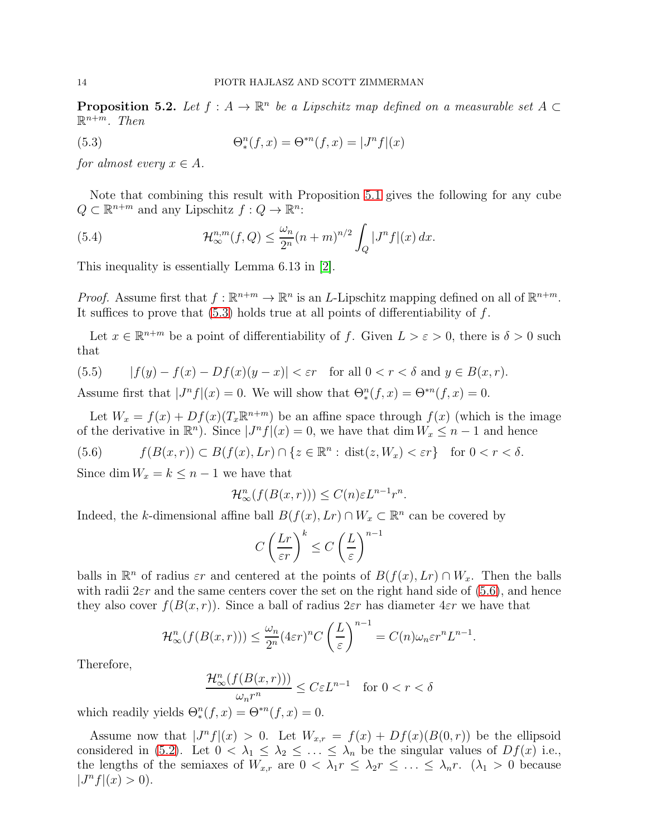<span id="page-13-0"></span>**Proposition 5.2.** Let  $f : A \to \mathbb{R}^n$  be a Lipschitz map defined on a measurable set  $A \subset \mathbb{R}^n$  $\mathbb{R}^{n+m}$ . Then

<span id="page-13-1"></span>(5.3) 
$$
\Theta_*^n(f, x) = \Theta^{*n}(f, x) = |J^n f|(x)
$$

for almost every  $x \in A$ .

Note that combining this result with Proposition [5.1](#page-11-1) gives the following for any cube  $Q \subset \mathbb{R}^{n+m}$  and any Lipschitz  $f: Q \to \mathbb{R}^n$ :

<span id="page-13-4"></span>(5.4) 
$$
\mathcal{H}_{\infty}^{n,m}(f,Q) \leq \frac{\omega_n}{2^n} (n+m)^{n/2} \int_Q |J^n f|(x) \, dx.
$$

This inequality is essentially Lemma 6.13 in [\[2\]](#page-19-0).

*Proof.* Assume first that  $f : \mathbb{R}^{n+m} \to \mathbb{R}^n$  is an *L*-Lipschitz mapping defined on all of  $\mathbb{R}^{n+m}$ . It suffices to prove that  $(5.3)$  holds true at all points of differentiability of f.

Let  $x \in \mathbb{R}^{n+m}$  be a point of differentiability of f. Given  $L > \varepsilon > 0$ , there is  $\delta > 0$  such that

<span id="page-13-3"></span>(5.5) 
$$
|f(y) - f(x) - Df(x)(y - x)| < \varepsilon r \quad \text{for all } 0 < r < \delta \text{ and } y \in B(x, r).
$$

Assume first that  $|J^n f|(x) = 0$ . We will show that  $\Theta_*^n(f, x) = \Theta^{*n}(f, x) = 0$ .

Let  $W_x = f(x) + Df(x)(T_x \mathbb{R}^{n+m})$  be an affine space through  $f(x)$  (which is the image of the derivative in  $\mathbb{R}^n$ ). Since  $|J^n f|(x) = 0$ , we have that dim  $W_x \le n - 1$  and hence

<span id="page-13-2"></span>(5.6) 
$$
f(B(x,r)) \subset B(f(x),Lr) \cap \{z \in \mathbb{R}^n : dist(z,W_x) < \varepsilon r\} \quad \text{for } 0 < r < \delta.
$$

Since dim  $W_x = k \leq n-1$  we have that

$$
\mathcal{H}_{\infty}^{n}(f(B(x,r))) \leq C(n)\varepsilon L^{n-1}r^{n}.
$$

Indeed, the k-dimensional affine ball  $B(f(x), Lr) \cap W_x \subset \mathbb{R}^n$  can be covered by

$$
C\left(\frac{Lr}{\varepsilon r}\right)^k \le C\left(\frac{L}{\varepsilon}\right)^{n-1}
$$

balls in  $\mathbb{R}^n$  of radius  $\varepsilon r$  and centered at the points of  $B(f(x), Lr) \cap W_x$ . Then the balls with radii  $2\varepsilon r$  and the same centers cover the set on the right hand side of [\(5.6\)](#page-13-2), and hence they also cover  $f(B(x, r))$ . Since a ball of radius  $2\varepsilon r$  has diameter  $4\varepsilon r$  we have that

$$
\mathcal{H}_{\infty}^{n}(f(B(x,r))) \leq \frac{\omega_{n}}{2^{n}}(4\epsilon r)^{n}C\left(\frac{L}{\epsilon}\right)^{n-1} = C(n)\omega_{n}\epsilon r^{n}L^{n-1}.
$$

Therefore,

$$
\frac{\mathcal{H}^n_\infty(f(B(x,r)))}{\omega_n r^n} \le C \varepsilon L^{n-1} \quad \text{for } 0 < r < \delta
$$

which readily yields  $\Theta_*^n(f, x) = \Theta^{*n}(f, x) = 0.$ 

Assume now that  $J^n f(x) > 0$ . Let  $W_{x,r} = f(x) + Df(x)(B(0,r))$  be the ellipsoid considered in [\(5.2\)](#page-12-0). Let  $0 < \lambda_1 \leq \lambda_2 \leq \ldots \leq \lambda_n$  be the singular values of  $Df(x)$  i.e., the lengths of the semiaxes of  $W_{x,r}$  are  $0 < \lambda_1 r \leq \lambda_2 r \leq \ldots \leq \lambda_n r$ .  $(\lambda_1 > 0$  because  $|J^n f|(x) > 0$ ).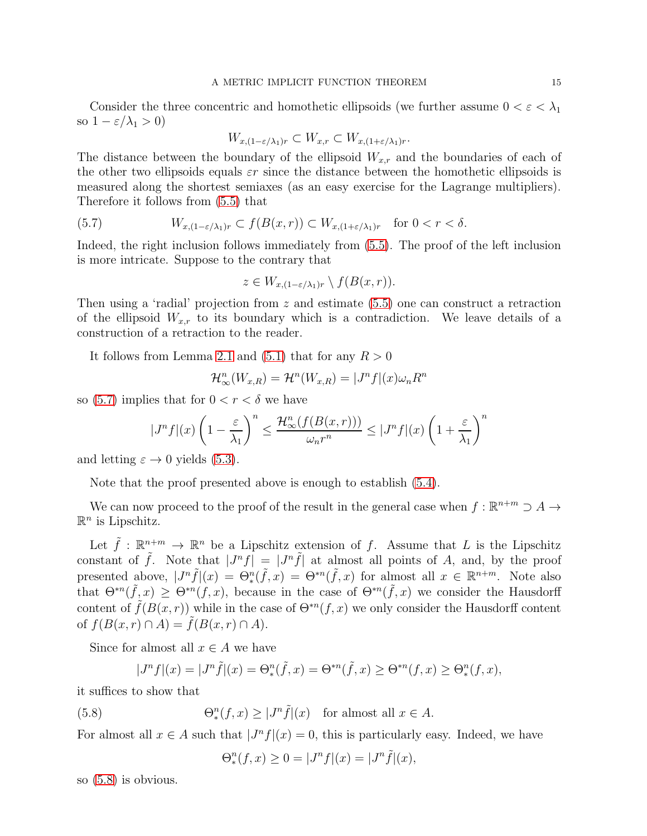Consider the three concentric and homothetic ellipsoids (we further assume  $0 < \varepsilon < \lambda_1$ ) so  $1 - \varepsilon/\lambda_1 > 0$ )

$$
W_{x,(1-\varepsilon/\lambda_1)r} \subset W_{x,r} \subset W_{x,(1+\varepsilon/\lambda_1)r}.
$$

The distance between the boundary of the ellipsoid  $W_{x,r}$  and the boundaries of each of the other two ellipsoids equals  $\varepsilon r$  since the distance between the homothetic ellipsoids is measured along the shortest semiaxes (as an easy exercise for the Lagrange multipliers). Therefore it follows from [\(5.5\)](#page-13-3) that

(5.7) 
$$
W_{x,(1-\varepsilon/\lambda_1)r} \subset f(B(x,r)) \subset W_{x,(1+\varepsilon/\lambda_1)r} \text{ for } 0 < r < \delta.
$$

Indeed, the right inclusion follows immediately from [\(5.5\)](#page-13-3). The proof of the left inclusion is more intricate. Suppose to the contrary that

<span id="page-14-0"></span>
$$
z \in W_{x,(1-\varepsilon/\lambda_1)r} \setminus f(B(x,r)).
$$

Then using a 'radial' projection from  $z$  and estimate  $(5.5)$  one can construct a retraction of the ellipsoid  $W_{x,r}$  to its boundary which is a contradiction. We leave details of a construction of a retraction to the reader.

It follows from Lemma [2.1](#page-4-3) and [\(5.1\)](#page-12-1) that for any  $R > 0$ 

$$
\mathcal{H}_{\infty}^{n}(W_{x,R}) = \mathcal{H}^{n}(W_{x,R}) = |J^{n}f|(x)\omega_{n}R^{n}
$$

so [\(5.7\)](#page-14-0) implies that for  $0 < r < \delta$  we have

$$
|J^n f|(x)\left(1-\frac{\varepsilon}{\lambda_1}\right)^n \le \frac{\mathcal{H}_{\infty}^n(f(B(x,r)))}{\omega_n r^n} \le |J^n f|(x)\left(1+\frac{\varepsilon}{\lambda_1}\right)^n
$$

and letting  $\varepsilon \to 0$  yields [\(5.3\)](#page-13-1).

Note that the proof presented above is enough to establish [\(5.4\)](#page-13-4).

We can now proceed to the proof of the result in the general case when  $f : \mathbb{R}^{n+m} \supset A \to$  $\mathbb{R}^n$  is Lipschitz.

Let  $\tilde{f}$ :  $\mathbb{R}^{n+m} \to \mathbb{R}^n$  be a Lipschitz extension of f. Assume that L is the Lipschitz constant of  $\tilde{f}$ . Note that  $|J^n f| = |J^n \tilde{f}|$  at almost all points of A, and, by the proof presented above,  $|J^n\tilde{f}|(x) = \Theta_*^n(\tilde{f},x) = \Theta^{*n}(\tilde{f},x)$  for almost all  $x \in \mathbb{R}^{n+m}$ . Note also that  $\Theta^{*n}(\tilde{f},x) \geq \Theta^{*n}(f,x)$ , because in the case of  $\Theta^{*n}(\tilde{f},x)$  we consider the Hausdorff content of  $\tilde{f}(B(x,r))$  while in the case of  $\Theta^{*n}(f,x)$  we only consider the Hausdorff content of  $f(B(x, r) \cap A) = \tilde{f}(B(x, r) \cap A)$ .

Since for almost all  $x \in A$  we have

$$
|J^n f|(x) = |J^n \tilde{f}|(x) = \Theta_*^n(\tilde{f}, x) = \Theta^{*n}(\tilde{f}, x) \ge \Theta^{*n}(f, x) \ge \Theta_*^n(f, x),
$$

it suffices to show that

(5.8) 
$$
\Theta_*^n(f, x) \ge |J^n \tilde{f}|(x) \text{ for almost all } x \in A.
$$

For almost all  $x \in A$  such that  $|J^n f|(x) = 0$ , this is particularly easy. Indeed, we have

<span id="page-14-1"></span>
$$
\Theta_*^n(f, x) \ge 0 = |J^n f|(x) = |J^n \tilde{f}|(x),
$$

so [\(5.8\)](#page-14-1) is obvious.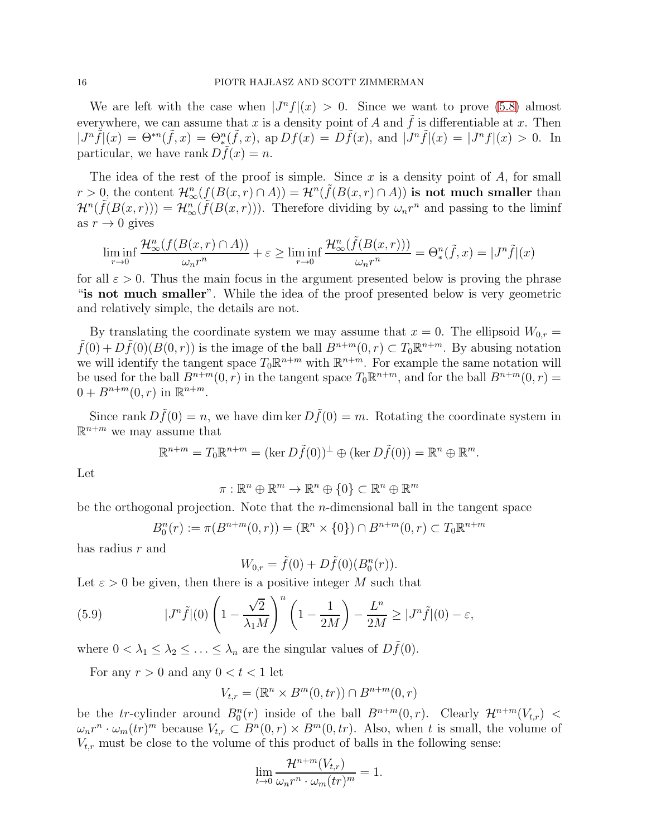We are left with the case when  $|J^n f|(x) > 0$ . Since we want to prove [\(5.8\)](#page-14-1) almost everywhere, we can assume that x is a density point of A and  $\tilde{f}$  is differentiable at x. Then  $|J^n\tilde{f}|(x) = \Theta^{*n}(\tilde{f},x) = \Theta^{n}_{\tilde{f}}(\tilde{f},x), \text{ ap } Df(x) = D\tilde{f}(x), \text{ and } |J^n\tilde{f}|(x) = |J^n f|(x) > 0.$  In particular, we have rank  $D\tilde{f}(x) = n$ .

The idea of the rest of the proof is simple. Since x is a density point of  $A$ , for small  $r > 0$ , the content  $\mathcal{H}_{\infty}^n(f(B(x,r) \cap A)) = \mathcal{H}^n(\tilde{f}(B(x,r) \cap A))$  is not much smaller than  $\mathcal{H}^n(\tilde{f}(B(x,r))) = \mathcal{H}^n_{\infty}(\tilde{f}(B(x,r)))$ . Therefore dividing by  $\omega_n r^n$  and passing to the liminf as  $r \to 0$  gives

$$
\liminf_{r \to 0} \frac{\mathcal{H}^n_\infty(f(B(x, r) \cap A))}{\omega_n r^n} + \varepsilon \ge \liminf_{r \to 0} \frac{\mathcal{H}^n_\infty(\tilde{f}(B(x, r)))}{\omega_n r^n} = \Theta_*^n(\tilde{f}, x) = |J^n \tilde{f}|(x)
$$

for all  $\varepsilon > 0$ . Thus the main focus in the argument presented below is proving the phrase "is not much smaller". While the idea of the proof presented below is very geometric and relatively simple, the details are not.

By translating the coordinate system we may assume that  $x = 0$ . The ellipsoid  $W_{0,r} =$  $\tilde{f}(0) + D\tilde{f}(0)(B(0,r))$  is the image of the ball  $B^{n+m}(0,r) \subset T_0\mathbb{R}^{n+m}$ . By abusing notation we will identify the tangent space  $T_0 \mathbb{R}^{n+m}$  with  $\mathbb{R}^{n+m}$ . For example the same notation will be used for the ball  $B^{n+m}(0, r)$  in the tangent space  $T_0 \mathbb{R}^{n+m}$ , and for the ball  $B^{n+m}(0, r) =$  $0 + B^{n+m}(0, r)$  in  $\mathbb{R}^{n+m}$ .

Since rank  $D\tilde{f}(0) = n$ , we have dim ker  $D\tilde{f}(0) = m$ . Rotating the coordinate system in  $\mathbb{R}^{n+m}$  we may assume that

$$
\mathbb{R}^{n+m} = T_0 \mathbb{R}^{n+m} = (\ker D\tilde{f}(0))^{\perp} \oplus (\ker D\tilde{f}(0)) = \mathbb{R}^n \oplus \mathbb{R}^m.
$$

Let

$$
\pi:\mathbb{R}^n\oplus\mathbb{R}^m\to\mathbb{R}^n\oplus\{0\}\subset\mathbb{R}^n\oplus\mathbb{R}^m
$$

be the orthogonal projection. Note that the  $n$ -dimensional ball in the tangent space

<span id="page-15-0"></span>
$$
B_0^n(r) := \pi(B^{n+m}(0,r)) = (\mathbb{R}^n \times \{0\}) \cap B^{n+m}(0,r) \subset T_0 \mathbb{R}^{n+m}
$$

has radius r and

$$
W_{0,r} = \tilde{f}(0) + D\tilde{f}(0)(B_0^n(r)).
$$

Let  $\varepsilon > 0$  be given, then there is a positive integer M such that

(5.9) 
$$
|J^n\tilde{f}|(0)\left(1-\frac{\sqrt{2}}{\lambda_1M}\right)^n\left(1-\frac{1}{2M}\right)-\frac{L^n}{2M}\geq |J^n\tilde{f}|(0)-\varepsilon,
$$

where  $0 < \lambda_1 \leq \lambda_2 \leq \ldots \leq \lambda_n$  are the singular values of  $D\widehat{f}(0)$ .

For any  $r > 0$  and any  $0 < t < 1$  let

$$
V_{t,r} = (\mathbb{R}^n \times B^m(0, tr)) \cap B^{n+m}(0, r)
$$

be the tr-cylinder around  $B_0^n(r)$  inside of the ball  $B^{n+m}(0,r)$ . Clearly  $\mathcal{H}^{n+m}(V_{t,r})$  $\omega_n r^n \cdot \omega_m(tr)^m$  because  $V_{t,r} \subset B^n(0,r) \times B^m(0,tr)$ . Also, when t is small, the volume of  $V_{t,r}$  must be close to the volume of this product of balls in the following sense:

$$
\lim_{t \to 0} \frac{\mathcal{H}^{n+m}(V_{t,r})}{\omega_n r^n \cdot \omega_m (tr)^m} = 1.
$$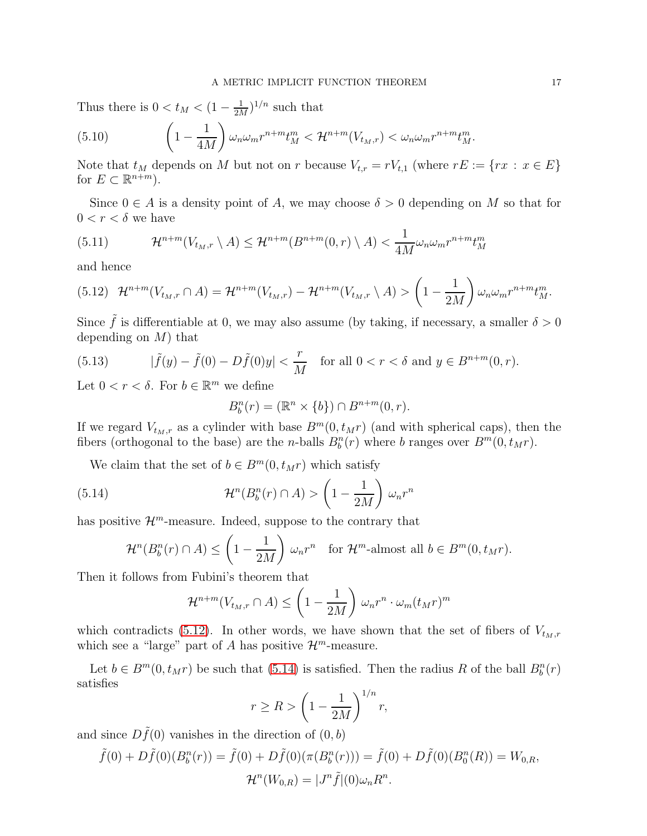Thus there is  $0 < t_M < (1 - \frac{1}{2M})$  $\frac{1}{2M}$ )<sup>1/n</sup> such that

(5.10) 
$$
\left(1-\frac{1}{4M}\right)\omega_n\omega_m r^{n+m}t_M^m < \mathcal{H}^{n+m}(V_{t_M,r}) < \omega_n\omega_m r^{n+m}t_M^m.
$$

Note that  $t_M$  depends on M but not on r because  $V_{t,r} = rV_{t,1}$  (where  $rE := \{rx : x \in E\}$ for  $E \subset \mathbb{R}^{n+m}$ ).

Since  $0 \in A$  is a density point of A, we may choose  $\delta > 0$  depending on M so that for  $0 < r < \delta$  we have

(5.11) 
$$
\mathcal{H}^{n+m}(V_{t_M,r} \setminus A) \leq \mathcal{H}^{n+m}(B^{n+m}(0,r) \setminus A) < \frac{1}{4M} \omega_n \omega_m r^{n+m} t_M^m
$$

and hence

<span id="page-16-0"></span>
$$
(5.12)\quad \mathcal{H}^{n+m}(V_{t_M,r}\cap A)=\mathcal{H}^{n+m}(V_{t_M,r})-\mathcal{H}^{n+m}(V_{t_M,r}\setminus A)>\left(1-\frac{1}{2M}\right)\omega_n\omega_m r^{n+m}t_M^m.
$$

Since  $\tilde{f}$  is differentiable at 0, we may also assume (by taking, if necessary, a smaller  $\delta > 0$ depending on  $M$ ) that

<span id="page-16-2"></span>(5.13) 
$$
|\tilde{f}(y) - \tilde{f}(0) - D\tilde{f}(0)y| < \frac{r}{M} \text{ for all } 0 < r < \delta \text{ and } y \in B^{n+m}(0, r).
$$

Let  $0 < r < \delta$ . For  $b \in \mathbb{R}^m$  we define

<span id="page-16-1"></span>
$$
B_b^n(r) = (\mathbb{R}^n \times \{b\}) \cap B^{n+m}(0, r).
$$

If we regard  $V_{t_M,r}$  as a cylinder with base  $B^m(0, t_Mr)$  (and with spherical caps), then the fibers (orthogonal to the base) are the *n*-balls  $B_b^n(r)$  where *b* ranges over  $B^m(0, t_M r)$ .

We claim that the set of  $b \in B^m(0, t_M r)$  which satisfy

(5.14) 
$$
\mathcal{H}^n(B_b^n(r) \cap A) > \left(1 - \frac{1}{2M}\right) \omega_n r^n
$$

has positive  $\mathcal{H}^m$ -measure. Indeed, suppose to the contrary that

$$
\mathcal{H}^n(B_b^n(r) \cap A) \le \left(1 - \frac{1}{2M}\right) \omega_n r^n \quad \text{for } \mathcal{H}^m\text{-almost all } b \in B^m(0, t_M r).
$$

Then it follows from Fubini's theorem that

$$
\mathcal{H}^{n+m}(V_{t_M,r} \cap A) \le \left(1 - \frac{1}{2M}\right) \omega_n r^n \cdot \omega_m (t_M r)^m
$$

which contradicts [\(5.12\)](#page-16-0). In other words, we have shown that the set of fibers of  $V_{t_M,r}$ which see a "large" part of A has positive  $\mathcal{H}^m$ -measure.

Let  $b \in B^m(0, t_M r)$  be such that [\(5.14\)](#page-16-1) is satisfied. Then the radius R of the ball  $B_b^n(r)$ satisfies

$$
r \ge R > \left(1 - \frac{1}{2M}\right)^{1/n} r,
$$

and since  $D\tilde{f}(0)$  vanishes in the direction of  $(0, b)$ 

$$
\tilde{f}(0) + D\tilde{f}(0)(B_b^n(r)) = \tilde{f}(0) + D\tilde{f}(0)(\pi(B_b^n(r))) = \tilde{f}(0) + D\tilde{f}(0)(B_0^n(R)) = W_{0,R},
$$
  

$$
\mathcal{H}^n(W_{0,R}) = |J^n\tilde{f}|(0)\omega_n R^n.
$$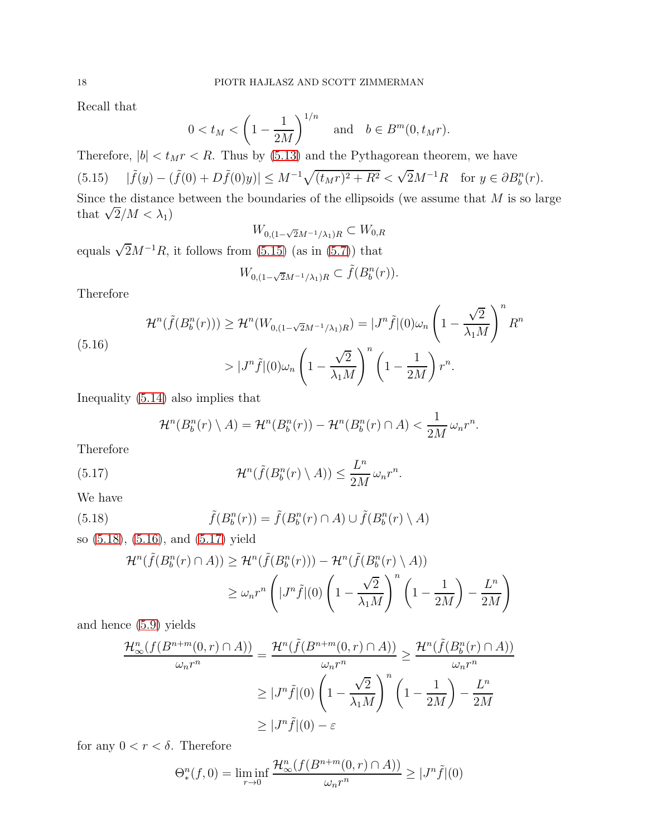Recall that

$$
0 < t_M < \left(1 - \frac{1}{2M}\right)^{1/n} \quad \text{and} \quad b \in B^m(0, t_M r).
$$

<span id="page-17-0"></span>Therefore,  $|b| < t_M r < R$ . Thus by [\(5.13\)](#page-16-2) and the Pythagorean theorem, we have  $(5.15)$   $|\tilde{f}(y) - (\tilde{f}(0) + D\tilde{f}(0)y)| \leq M^{-1}\sqrt{(t_M r)^2 + R^2} < \sqrt{2}M^{-1}R$  for  $y \in \partial B_b^n(r)$ . Since the distance between the boundaries of the ellipsoids (we assume that  $M$  is so large that  $\sqrt{2}/M < \lambda_1$ )

$$
W_{0,(1-\sqrt{2}M^{-1}/\lambda_1)R} \subset W_{0,R}
$$

equals  $\sqrt{2}M^{-1}R$ , it follows from [\(5.15\)](#page-17-0) (as in [\(5.7\)](#page-14-0)) that

$$
W_{0,(1-\sqrt{2}M^{-1}/\lambda_1)R} \subset \tilde{f}(B_b^n(r)).
$$

Therefore

<span id="page-17-2"></span>(5.16)  

$$
\mathcal{H}^n(\tilde{f}(B_b^n(r))) \ge \mathcal{H}^n(W_{0,(1-\sqrt{2}M^{-1}/\lambda_1)R}) = |J^n\tilde{f}|(0)\omega_n \left(1 - \frac{\sqrt{2}}{\lambda_1 M}\right)^n R^n
$$

$$
> |J^n\tilde{f}|(0)\omega_n \left(1 - \frac{\sqrt{2}}{\lambda_1 M}\right)^n \left(1 - \frac{1}{2M}\right)r^n.
$$

Inequality [\(5.14\)](#page-16-1) also implies that

<span id="page-17-3"></span>
$$
\mathcal{H}^n(B_b^n(r)\setminus A)=\mathcal{H}^n(B_b^n(r))-\mathcal{H}^n(B_b^n(r)\cap A)<\frac{1}{2M}\,\omega_n r^n.
$$

Therefore

(5.17) 
$$
\mathcal{H}^n(\tilde{f}(B_b^n(r)\setminus A)) \leq \frac{L^n}{2M} \omega_n r^n.
$$

We have

(5.18) 
$$
\tilde{f}(B_b^n(r)) = \tilde{f}(B_b^n(r) \cap A) \cup \tilde{f}(B_b^n(r) \setminus A)
$$

so [\(5.18\)](#page-17-1), [\(5.16\)](#page-17-2), and [\(5.17\)](#page-17-3) yield

<span id="page-17-1"></span>
$$
\mathcal{H}^n(\tilde{f}(B_b^n(r) \cap A)) \ge \mathcal{H}^n(\tilde{f}(B_b^n(r))) - \mathcal{H}^n(\tilde{f}(B_b^n(r) \setminus A))
$$
  

$$
\ge \omega_n r^n \left( |J^n \tilde{f}|(0) \left(1 - \frac{\sqrt{2}}{\lambda_1 M}\right)^n \left(1 - \frac{1}{2M}\right) - \frac{L^n}{2M} \right)
$$

and hence [\(5.9\)](#page-15-0) yields

$$
\frac{\mathcal{H}_{\infty}^{n}(f(B^{n+m}(0,r)\cap A))}{\omega_{n}r^{n}} = \frac{\mathcal{H}^{n}(\tilde{f}(B^{n+m}(0,r)\cap A))}{\omega_{n}r^{n}} \geq \frac{\mathcal{H}^{n}(\tilde{f}(B_{b}^{n}(r)\cap A))}{\omega_{n}r^{n}}
$$

$$
\geq |J^{n}\tilde{f}|(0)\left(1-\frac{\sqrt{2}}{\lambda_{1}M}\right)^{n}\left(1-\frac{1}{2M}\right) - \frac{L^{n}}{2M}
$$

$$
\geq |J^{n}\tilde{f}|(0) - \varepsilon
$$

for any  $0 < r < \delta$ . Therefore

$$
\Theta_*^n(f,0) = \liminf_{r \to 0} \frac{\mathcal{H}_\infty^n(f(B^{n+m}(0,r) \cap A))}{\omega_n r^n} \ge |J^n \tilde{f}|(0)
$$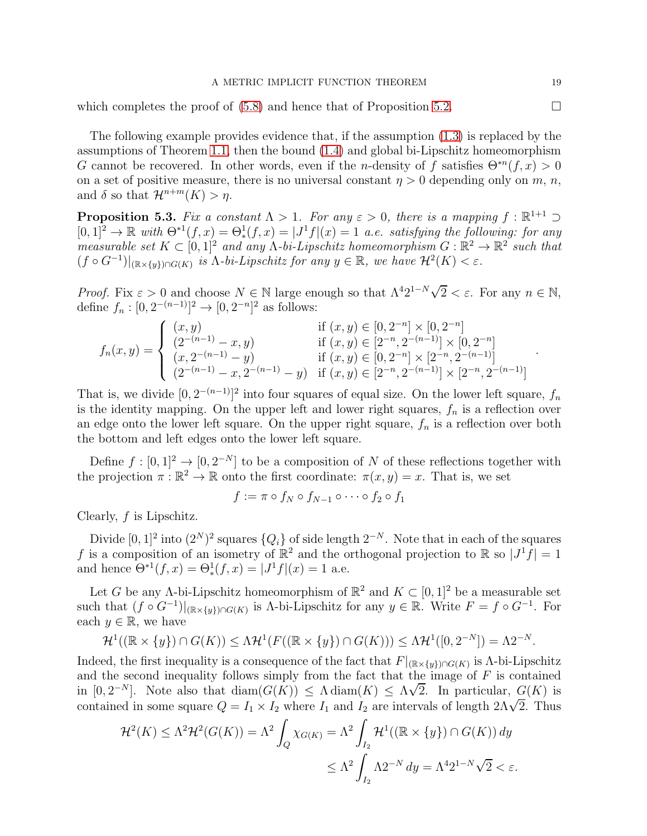#### A METRIC IMPLICIT FUNCTION THEOREM 19

which completes the proof of  $(5.8)$  and hence that of Proposition [5.2.](#page-13-0)

The following example provides evidence that, if the assumption [\(1.3\)](#page-2-2) is replaced by the assumptions of Theorem [1.1,](#page-1-0) then the bound [\(1.4\)](#page-2-1) and global bi-Lipschitz homeomorphism G cannot be recovered. In other words, even if the *n*-density of f satisfies  $\Theta^{*n}(f, x) > 0$ on a set of positive measure, there is no universal constant  $\eta > 0$  depending only on m, n, and  $\delta$  so that  $\mathcal{H}^{n+m}(K) > \eta$ .

<span id="page-18-0"></span>**Proposition 5.3.** Fix a constant  $\Lambda > 1$ . For any  $\varepsilon > 0$ , there is a mapping  $f : \mathbb{R}^{1+1} \supset$  $[0,1]^2 \to \mathbb{R}$  with  $\Theta^{*1}(f,x) = \Theta_*^1(f,x) = |J^1f|(x) = 1$  a.e. satisfying the following: for any measurable set  $K \subset [0,1]^2$  and any  $\Lambda$ -bi-Lipschitz homeomorphism  $G : \mathbb{R}^2 \to \mathbb{R}^2$  such that  $(f \circ G^{-1})|_{(\mathbb{R} \times \{y\}) \cap G(K)}$  is  $\Lambda$ -bi-Lipschitz for any  $y \in \mathbb{R}$ , we have  $\mathcal{H}^2(K) < \varepsilon$ .

*Proof.* Fix  $\varepsilon > 0$  and choose  $N \in \mathbb{N}$  large enough so that  $\Lambda^4 2^{1-N} \sqrt{2} < \varepsilon$ . For any  $n \in \mathbb{N}$ , define  $f_n : [0, 2^{-(n-1)}]^2 \to [0, 2^{-n}]^2$  as follows:

$$
f_n(x,y) = \begin{cases} (x,y) & \text{if } (x,y) \in [0,2^{-n}] \times [0,2^{-n}] \\ (2^{-(n-1)} - x, y) & \text{if } (x,y) \in [2^{-n}, 2^{-(n-1)}] \times [0,2^{-n}] \\ (x,2^{-(n-1)} - y) & \text{if } (x,y) \in [0,2^{-n}] \times [2^{-n}, 2^{-(n-1)}] \\ (2^{-(n-1)} - x, 2^{-(n-1)} - y) & \text{if } (x,y) \in [2^{-n}, 2^{-(n-1)}] \times [2^{-n}, 2^{-(n-1)}] \end{cases}
$$

That is, we divide  $[0, 2^{-(n-1)}]^2$  into four squares of equal size. On the lower left square,  $f_n$ is the identity mapping. On the upper left and lower right squares,  $f_n$  is a reflection over an edge onto the lower left square. On the upper right square,  $f_n$  is a reflection over both the bottom and left edges onto the lower left square.

Define  $f : [0,1]^2 \to [0,2^{-N}]$  to be a composition of N of these reflections together with the projection  $\pi : \mathbb{R}^2 \to \mathbb{R}$  onto the first coordinate:  $\pi(x, y) = x$ . That is, we set

$$
f := \pi \circ f_N \circ f_{N-1} \circ \cdots \circ f_2 \circ f_1
$$

Clearly,  $f$  is Lipschitz.

Divide  $[0, 1]^2$  into  $(2^N)^2$  squares  $\{Q_i\}$  of side length  $2^{-N}$ . Note that in each of the squares f is a composition of an isometry of  $\mathbb{R}^2$  and the orthogonal projection to  $\mathbb{R}$  so  $|J^1f| = 1$ and hence  $\Theta^{*1}(f, x) = \Theta^1_*(f, x) = |J^1f|(x) = 1$  a.e.

Let G be any  $\Lambda$ -bi-Lipschitz homeomorphism of  $\mathbb{R}^2$  and  $K \subset [0,1]^2$  be a measurable set such that  $(f \circ G^{-1})|_{(\mathbb{R} \times \{y\}) \cap G(K)}$  is  $\Lambda$ -bi-Lipschitz for any  $y \in \mathbb{R}$ . Write  $F = f \circ G^{-1}$ . For each  $y \in \mathbb{R}$ , we have

$$
\mathcal{H}^1((\mathbb{R} \times \{y\}) \cap G(K)) \leq \Lambda \mathcal{H}^1(F((\mathbb{R} \times \{y\}) \cap G(K))) \leq \Lambda \mathcal{H}^1([0, 2^{-N}]) = \Lambda 2^{-N}.
$$

Indeed, the first inequality is a consequence of the fact that  $F|_{(\mathbb{R} \times \{y\}) \cap G(K)}$  is  $\Lambda$ -bi-Lipschitz and the second inequality follows simply from the fact that the image of  $F$  is contained in  $[0, 2^{-N}]$ . Note also that  $\text{diam}(G(K)) \leq \Lambda \text{diam}(K) \leq \Lambda \sqrt{2}$ . In particular,  $G(K)$  is contained in some square  $Q = I_1 \times I_2$  where  $I_1$  and  $I_2$  are intervals of length  $2\Lambda\sqrt{2}$ . Thus

$$
\mathcal{H}^2(K) \le \Lambda^2 \mathcal{H}^2(G(K)) = \Lambda^2 \int_Q \chi_{G(K)} = \Lambda^2 \int_{I_2} \mathcal{H}^1((\mathbb{R} \times \{y\}) \cap G(K)) dy
$$
  

$$
\le \Lambda^2 \int_{I_2} \Lambda 2^{-N} dy = \Lambda^4 2^{1-N} \sqrt{2} < \varepsilon.
$$

.